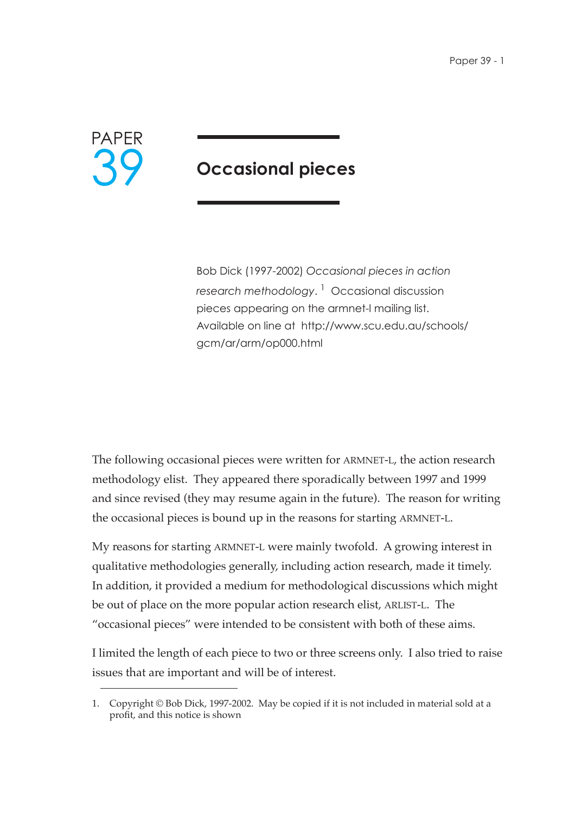

# **Occasional pieces**

Bob Dick (1997-2002) *Occasional pieces in action research methodology*. 1 Occasional discussion pieces appearing on the armnet-l mailing list. Available on line at http://www.scu.edu.au/schools/ gcm/ar/arm/op000.html

The following occasional pieces were written for ARMNET-L, the action research methodology elist. They appeared there sporadically between 1997 and 1999 and since revised (they may resume again in the future). The reason for writing the occasional pieces is bound up in the reasons for starting ARMNET-L.

My reasons for starting ARMNET-L were mainly twofold. A growing interest in qualitative methodologies generally, including action research, made it timely. In addition, it provided a medium for methodological discussions which might be out of place on the more popular action research elist, ARLIST-L. The "occasional pieces" were intended to be consistent with both of these aims.

I limited the length of each piece to two or three screens only. I also tried to raise issues that are important and will be of interest.

<sup>1.</sup> Copyright © Bob Dick, 1997-2002. May be copied if it is not included in material sold at a profit, and this notice is shown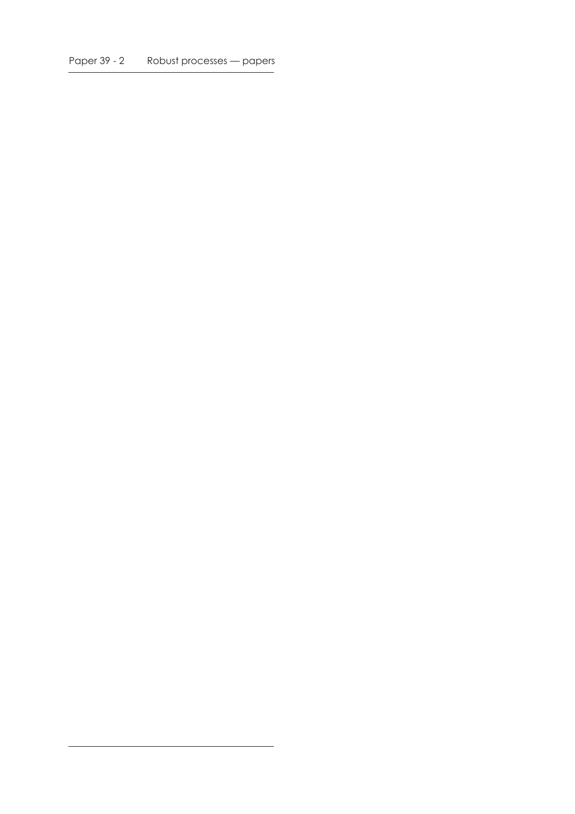Paper 39 - 2 Robust processes — papers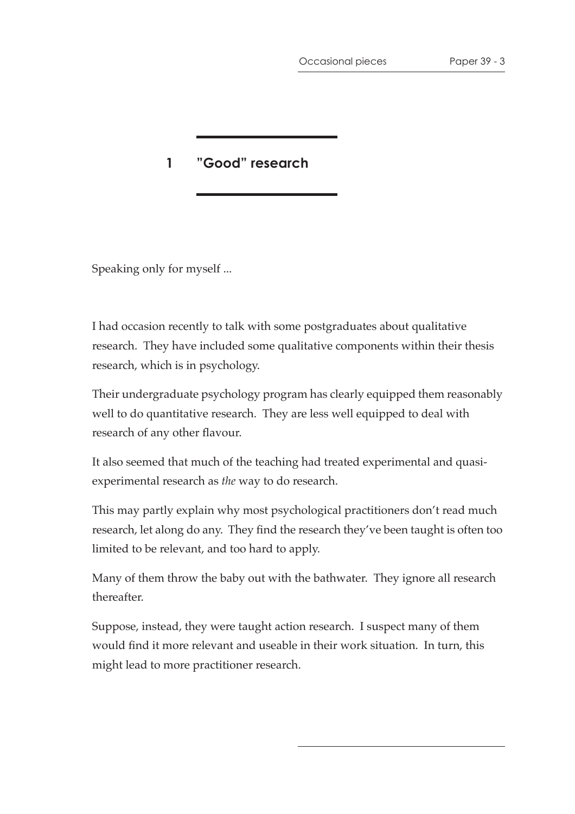#### **1 "Good" research**

Speaking only for myself ...

I had occasion recently to talk with some postgraduates about qualitative research. They have included some qualitative components within their thesis research, which is in psychology.

Their undergraduate psychology program has clearly equipped them reasonably well to do quantitative research. They are less well equipped to deal with research of any other flavour.

It also seemed that much of the teaching had treated experimental and quasiexperimental research as *the* way to do research.

This may partly explain why most psychological practitioners don't read much research, let along do any. They find the research they've been taught is often too limited to be relevant, and too hard to apply.

Many of them throw the baby out with the bathwater. They ignore all research thereafter.

Suppose, instead, they were taught action research. I suspect many of them would find it more relevant and useable in their work situation. In turn, this might lead to more practitioner research.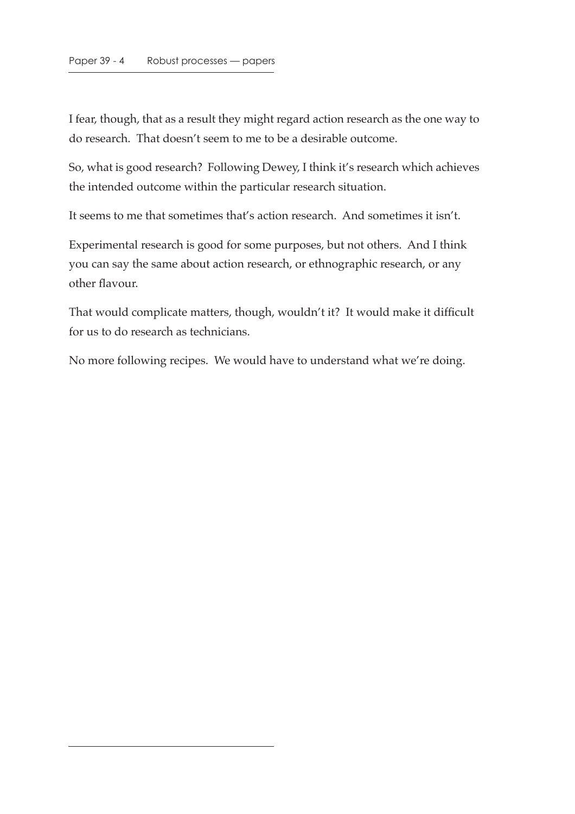I fear, though, that as a result they might regard action research as the one way to do research. That doesn't seem to me to be a desirable outcome.

So, what is good research? Following Dewey, I think it's research which achieves the intended outcome within the particular research situation.

It seems to me that sometimes that's action research. And sometimes it isn't.

Experimental research is good for some purposes, but not others. And I think you can say the same about action research, or ethnographic research, or any other flavour.

That would complicate matters, though, wouldn't it? It would make it difficult for us to do research as technicians.

No more following recipes. We would have to understand what we're doing.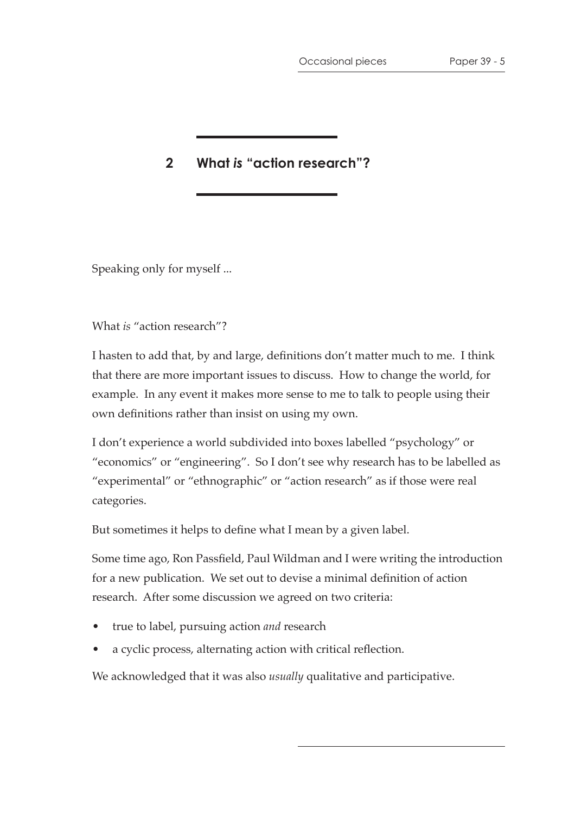## **2 What** *is* **"action research"?**

Speaking only for myself ...

What *is* "action research"?

I hasten to add that, by and large, definitions don't matter much to me. I think that there are more important issues to discuss. How to change the world, for example. In any event it makes more sense to me to talk to people using their own definitions rather than insist on using my own.

I don't experience a world subdivided into boxes labelled "psychology" or "economics" or "engineering". So I don't see why research has to be labelled as "experimental" or "ethnographic" or "action research" as if those were real categories.

But sometimes it helps to define what I mean by a given label.

Some time ago, Ron Passfield, Paul Wildman and I were writing the introduction for a new publication. We set out to devise a minimal definition of action research. After some discussion we agreed on two criteria:

- true to label, pursuing action *and* research
- a cyclic process, alternating action with critical reflection.

We acknowledged that it was also *usually* qualitative and participative.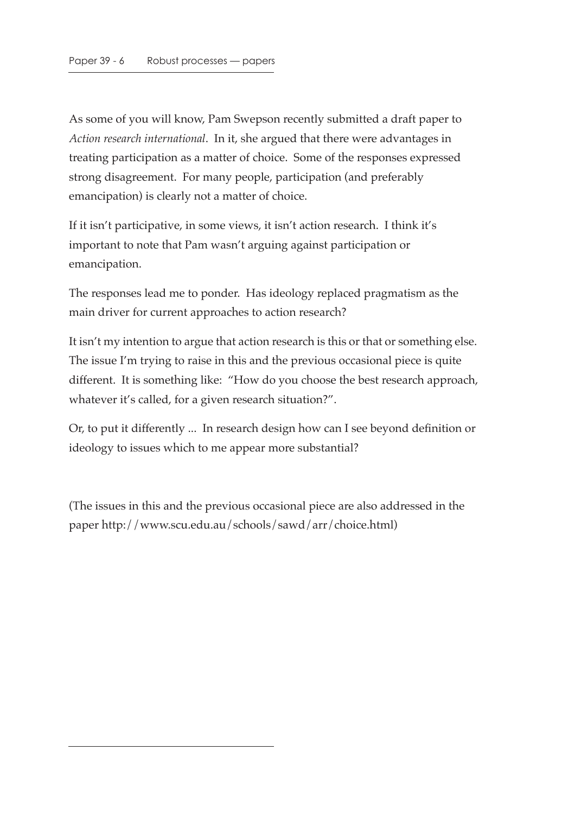As some of you will know, Pam Swepson recently submitted a draft paper to *Action research international*. In it, she argued that there were advantages in treating participation as a matter of choice. Some of the responses expressed strong disagreement. For many people, participation (and preferably emancipation) is clearly not a matter of choice.

If it isn't participative, in some views, it isn't action research. I think it's important to note that Pam wasn't arguing against participation or emancipation.

The responses lead me to ponder. Has ideology replaced pragmatism as the main driver for current approaches to action research?

It isn't my intention to argue that action research is this or that or something else. The issue I'm trying to raise in this and the previous occasional piece is quite different. It is something like: "How do you choose the best research approach, whatever it's called, for a given research situation?".

Or, to put it differently ... In research design how can I see beyond definition or ideology to issues which to me appear more substantial?

(The issues in this and the previous occasional piece are also addressed in the paper http://www.scu.edu.au/schools/sawd/arr/choice.html)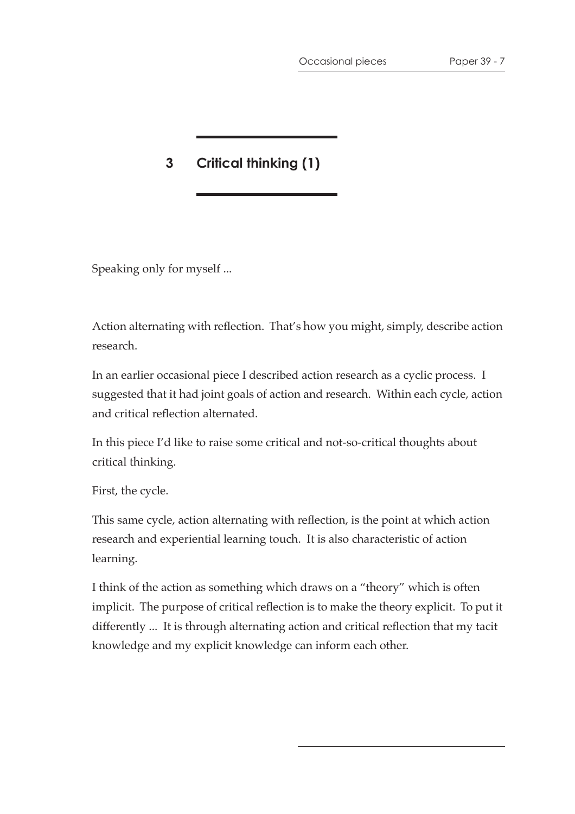## **3 Critical thinking (1)**

Speaking only for myself ...

Action alternating with reflection. That's how you might, simply, describe action research.

In an earlier occasional piece I described action research as a cyclic process. I suggested that it had joint goals of action and research. Within each cycle, action and critical reflection alternated.

In this piece I'd like to raise some critical and not-so-critical thoughts about critical thinking.

First, the cycle.

This same cycle, action alternating with reflection, is the point at which action research and experiential learning touch. It is also characteristic of action learning.

I think of the action as something which draws on a "theory" which is often implicit. The purpose of critical reflection is to make the theory explicit. To put it differently ... It is through alternating action and critical reflection that my tacit knowledge and my explicit knowledge can inform each other.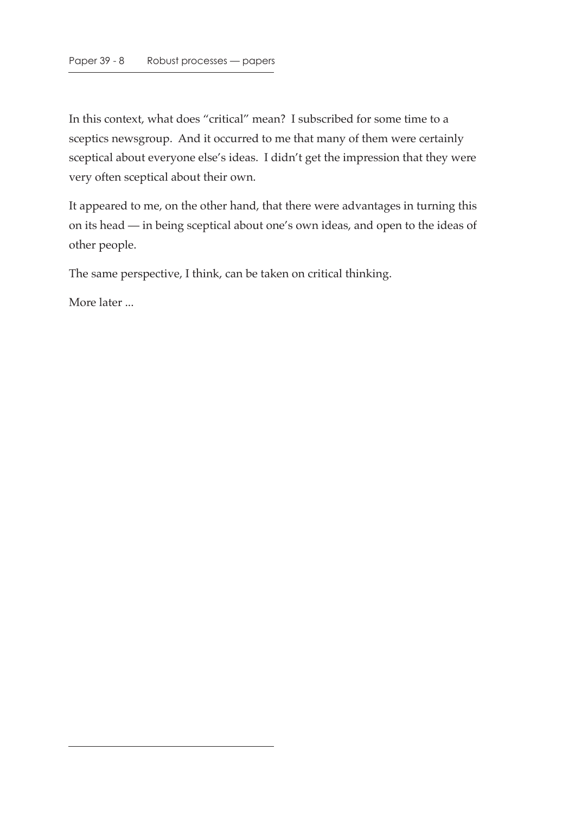In this context, what does "critical" mean? I subscribed for some time to a sceptics newsgroup. And it occurred to me that many of them were certainly sceptical about everyone else's ideas. I didn't get the impression that they were very often sceptical about their own.

It appeared to me, on the other hand, that there were advantages in turning this on its head — in being sceptical about one's own ideas, and open to the ideas of other people.

The same perspective, I think, can be taken on critical thinking.

More later ...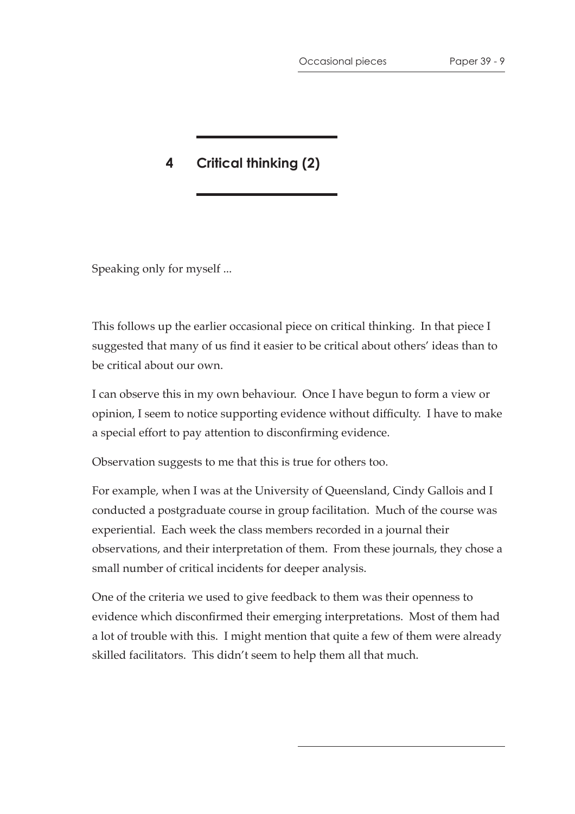### **4 Critical thinking (2)**

Speaking only for myself ...

This follows up the earlier occasional piece on critical thinking. In that piece I suggested that many of us find it easier to be critical about others' ideas than to be critical about our own.

I can observe this in my own behaviour. Once I have begun to form a view or opinion, I seem to notice supporting evidence without difficulty. I have to make a special effort to pay attention to disconfirming evidence.

Observation suggests to me that this is true for others too.

For example, when I was at the University of Queensland, Cindy Gallois and I conducted a postgraduate course in group facilitation. Much of the course was experiential. Each week the class members recorded in a journal their observations, and their interpretation of them. From these journals, they chose a small number of critical incidents for deeper analysis.

One of the criteria we used to give feedback to them was their openness to evidence which disconfirmed their emerging interpretations. Most of them had a lot of trouble with this. I might mention that quite a few of them were already skilled facilitators. This didn't seem to help them all that much.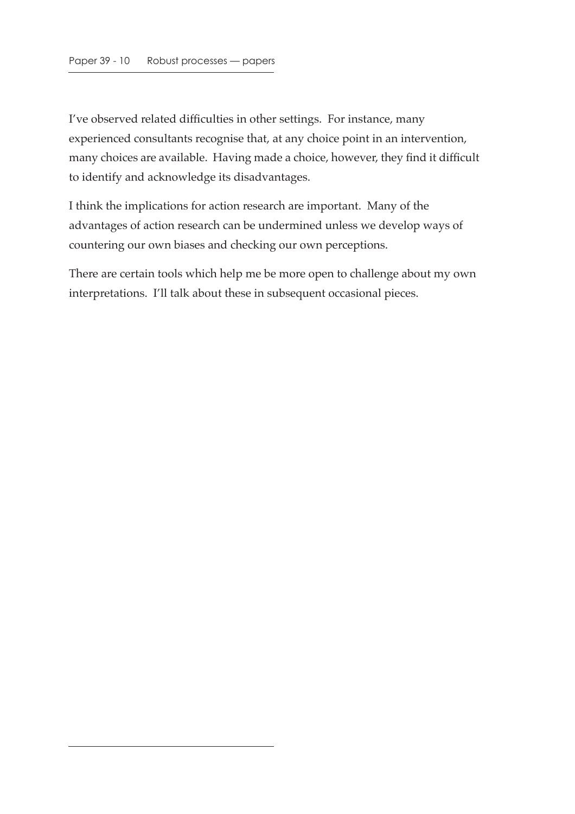I've observed related difficulties in other settings. For instance, many experienced consultants recognise that, at any choice point in an intervention, many choices are available. Having made a choice, however, they find it difficult to identify and acknowledge its disadvantages.

I think the implications for action research are important. Many of the advantages of action research can be undermined unless we develop ways of countering our own biases and checking our own perceptions.

There are certain tools which help me be more open to challenge about my own interpretations. I'll talk about these in subsequent occasional pieces.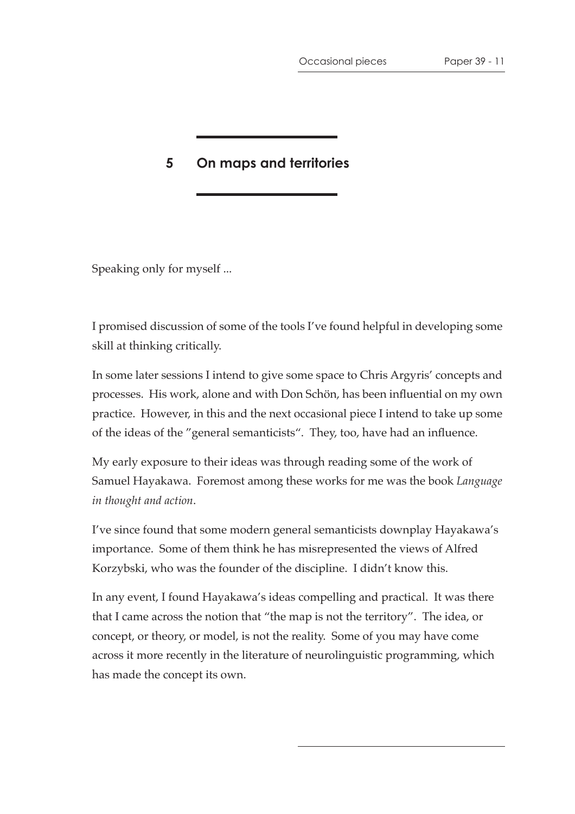#### **5 On maps and territories**

Speaking only for myself ...

I promised discussion of some of the tools I've found helpful in developing some skill at thinking critically.

In some later sessions I intend to give some space to Chris Argyris' concepts and processes. His work, alone and with Don Schön, has been influential on my own practice. However, in this and the next occasional piece I intend to take up some of the ideas of the "general semanticists". They, too, have had an influence.

My early exposure to their ideas was through reading some of the work of Samuel Hayakawa. Foremost among these works for me was the book *Language in thought and action*.

I've since found that some modern general semanticists downplay Hayakawa's importance. Some of them think he has misrepresented the views of Alfred Korzybski, who was the founder of the discipline. I didn't know this.

In any event, I found Hayakawa's ideas compelling and practical. It was there that I came across the notion that "the map is not the territory". The idea, or concept, or theory, or model, is not the reality. Some of you may have come across it more recently in the literature of neurolinguistic programming, which has made the concept its own.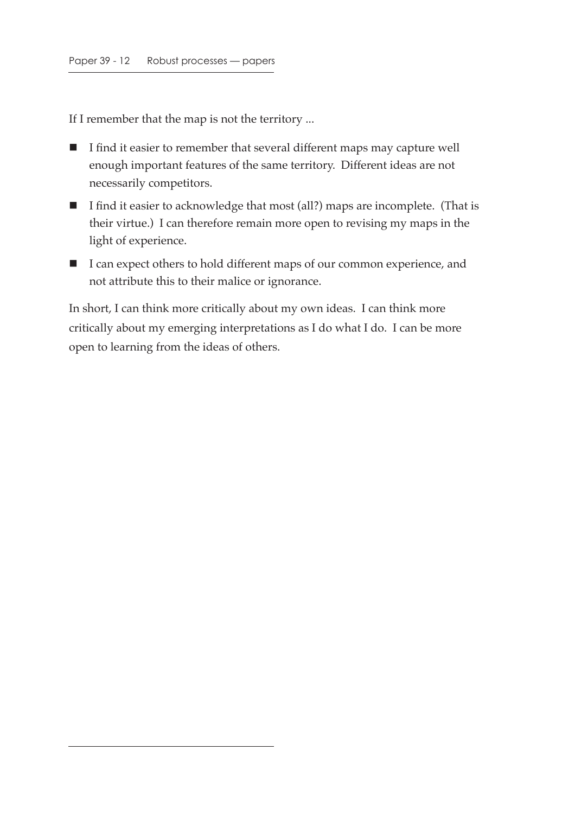If I remember that the map is not the territory ...

- $\blacksquare$  I find it easier to remember that several different maps may capture well enough important features of the same territory. Different ideas are not necessarily competitors.
- I find it easier to acknowledge that most (all?) maps are incomplete. (That is their virtue.) I can therefore remain more open to revising my maps in the light of experience.
- I can expect others to hold different maps of our common experience, and not attribute this to their malice or ignorance.

In short, I can think more critically about my own ideas. I can think more critically about my emerging interpretations as I do what I do. I can be more open to learning from the ideas of others.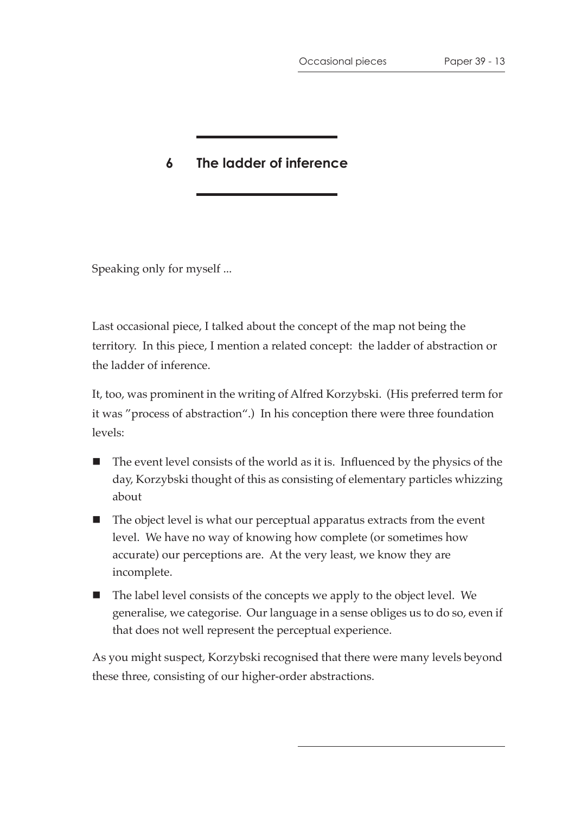#### **6 The ladder of inference**

Speaking only for myself ...

Last occasional piece, I talked about the concept of the map not being the territory. In this piece, I mention a related concept: the ladder of abstraction or the ladder of inference.

It, too, was prominent in the writing of Alfred Korzybski. (His preferred term for it was "process of abstraction".) In his conception there were three foundation levels:

- The event level consists of the world as it is. Influenced by the physics of the day, Korzybski thought of this as consisting of elementary particles whizzing about
- The object level is what our perceptual apparatus extracts from the event level. We have no way of knowing how complete (or sometimes how accurate) our perceptions are. At the very least, we know they are incomplete.
- The label level consists of the concepts we apply to the object level. We generalise, we categorise. Our language in a sense obliges us to do so, even if that does not well represent the perceptual experience.

As you might suspect, Korzybski recognised that there were many levels beyond these three, consisting of our higher-order abstractions.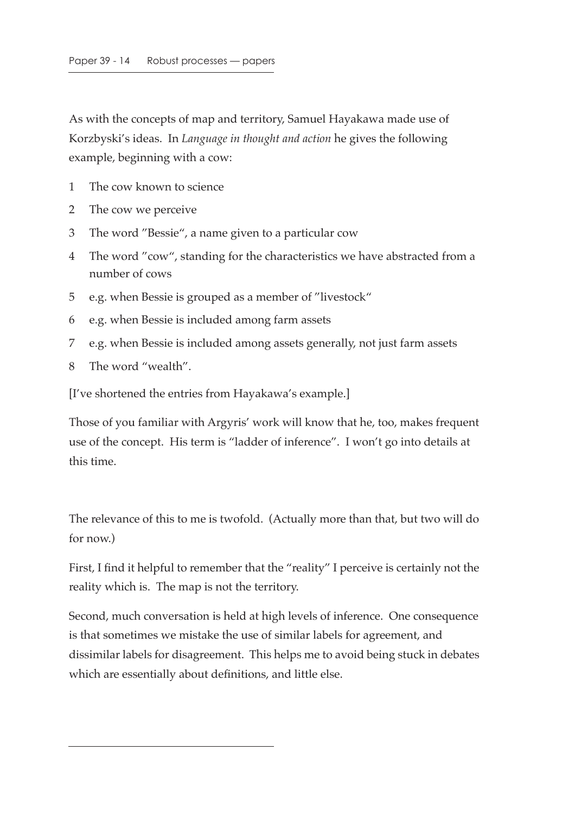As with the concepts of map and territory, Samuel Hayakawa made use of Korzbyski's ideas. In *Language in thought and action* he gives the following example, beginning with a cow:

- 1 The cow known to science
- 2 The cow we perceive
- 3 The word "Bessie", a name given to a particular cow
- 4 The word "cow", standing for the characteristics we have abstracted from a number of cows
- 5 e.g. when Bessie is grouped as a member of "livestock"
- 6 e.g. when Bessie is included among farm assets
- 7 e.g. when Bessie is included among assets generally, not just farm assets
- 8 The word "wealth".

[I've shortened the entries from Hayakawa's example.]

Those of you familiar with Argyris' work will know that he, too, makes frequent use of the concept. His term is "ladder of inference". I won't go into details at this time.

The relevance of this to me is twofold. (Actually more than that, but two will do for now.)

First, I find it helpful to remember that the "reality" I perceive is certainly not the reality which is. The map is not the territory.

Second, much conversation is held at high levels of inference. One consequence is that sometimes we mistake the use of similar labels for agreement, and dissimilar labels for disagreement. This helps me to avoid being stuck in debates which are essentially about definitions, and little else.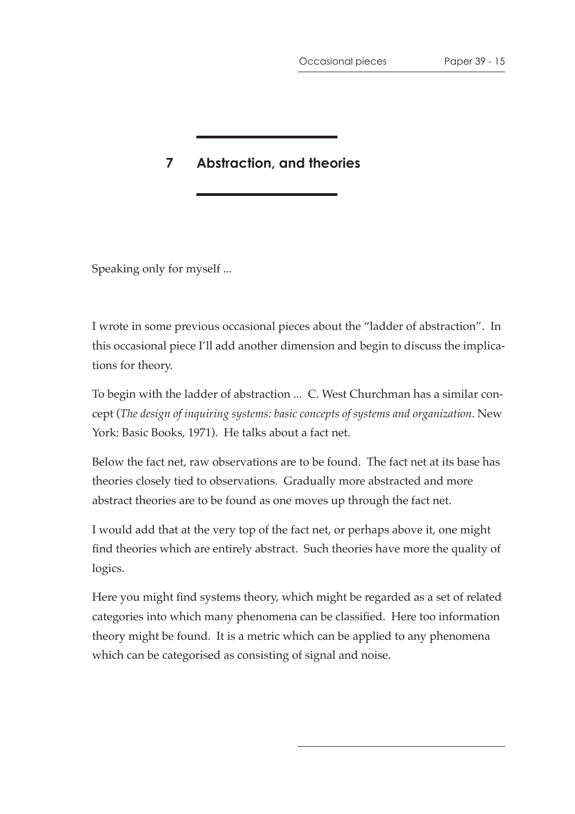#### **7 Abstraction, and theories**

Speaking only for myself ...

I wrote in some previous occasional pieces about the "ladder of abstraction". In this occasional piece I'll add another dimension and begin to discuss the implications for theory.

To begin with the ladder of abstraction ... C. West Churchman has a similar concept (*The design of inquiring systems: basic concepts of systems and organization*. New York: Basic Books, 1971). He talks about a fact net.

Below the fact net, raw observations are to be found. The fact net at its base has theories closely tied to observations. Gradually more abstracted and more abstract theories are to be found as one moves up through the fact net.

I would add that at the very top of the fact net, or perhaps above it, one might find theories which are entirely abstract. Such theories have more the quality of logics.

Here you might find systems theory, which might be regarded as a set of related categories into which many phenomena can be classified. Here too information theory might be found. It is a metric which can be applied to any phenomena which can be categorised as consisting of signal and noise.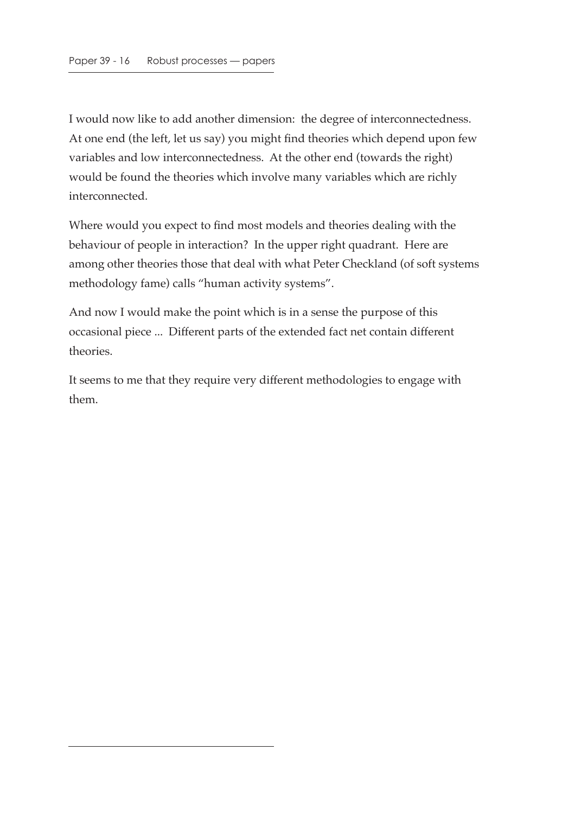I would now like to add another dimension: the degree of interconnectedness. At one end (the left, let us say) you might find theories which depend upon few variables and low interconnectedness. At the other end (towards the right) would be found the theories which involve many variables which are richly interconnected.

Where would you expect to find most models and theories dealing with the behaviour of people in interaction? In the upper right quadrant. Here are among other theories those that deal with what Peter Checkland (of soft systems methodology fame) calls "human activity systems".

And now I would make the point which is in a sense the purpose of this occasional piece ... Different parts of the extended fact net contain different theories.

It seems to me that they require very different methodologies to engage with them.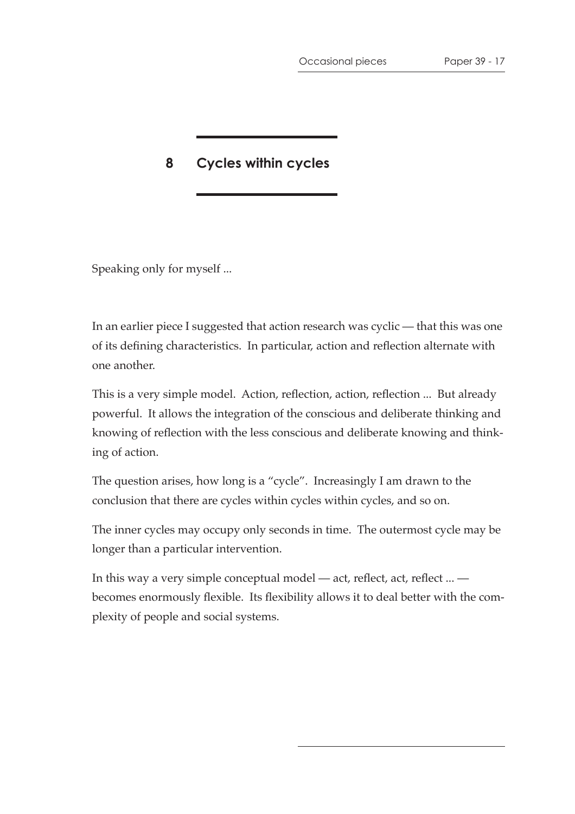#### **8 Cycles within cycles**

Speaking only for myself ...

In an earlier piece I suggested that action research was cyclic — that this was one of its defining characteristics. In particular, action and reflection alternate with one another.

This is a very simple model. Action, reflection, action, reflection ... But already powerful. It allows the integration of the conscious and deliberate thinking and knowing of reflection with the less conscious and deliberate knowing and thinking of action.

The question arises, how long is a "cycle". Increasingly I am drawn to the conclusion that there are cycles within cycles within cycles, and so on.

The inner cycles may occupy only seconds in time. The outermost cycle may be longer than a particular intervention.

In this way a very simple conceptual model — act, reflect, act, reflect ... becomes enormously flexible. Its flexibility allows it to deal better with the complexity of people and social systems.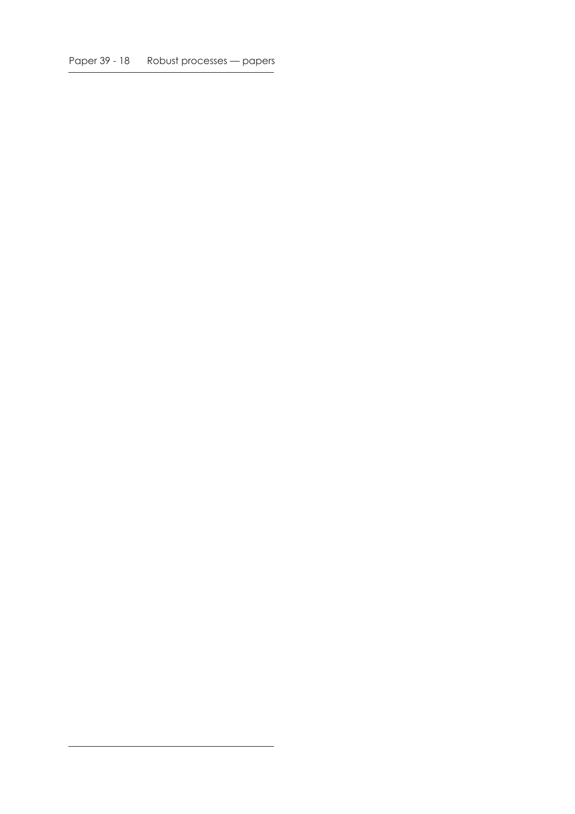Paper 39 - 18 Robust processes — papers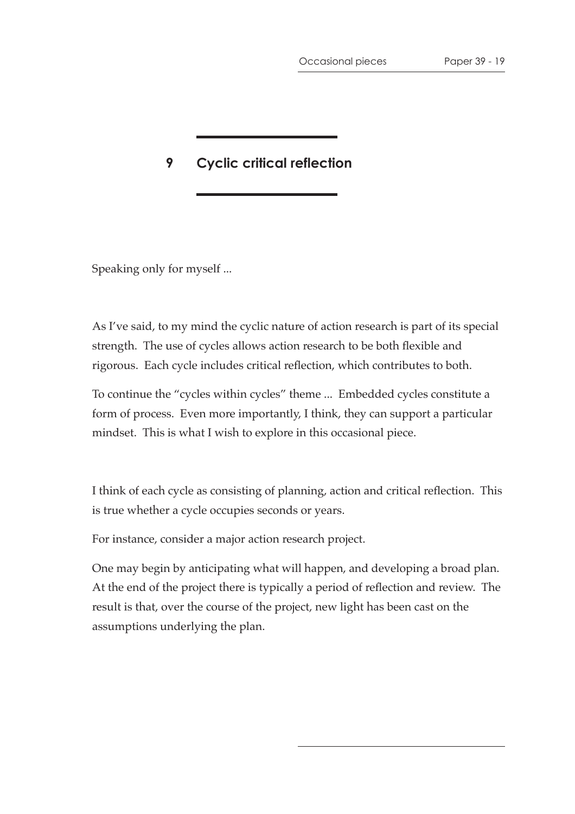#### **9 Cyclic critical reflection**

Speaking only for myself ...

As I've said, to my mind the cyclic nature of action research is part of its special strength. The use of cycles allows action research to be both flexible and rigorous. Each cycle includes critical reflection, which contributes to both.

To continue the "cycles within cycles" theme ... Embedded cycles constitute a form of process. Even more importantly, I think, they can support a particular mindset. This is what I wish to explore in this occasional piece.

I think of each cycle as consisting of planning, action and critical reflection. This is true whether a cycle occupies seconds or years.

For instance, consider a major action research project.

One may begin by anticipating what will happen, and developing a broad plan. At the end of the project there is typically a period of reflection and review. The result is that, over the course of the project, new light has been cast on the assumptions underlying the plan.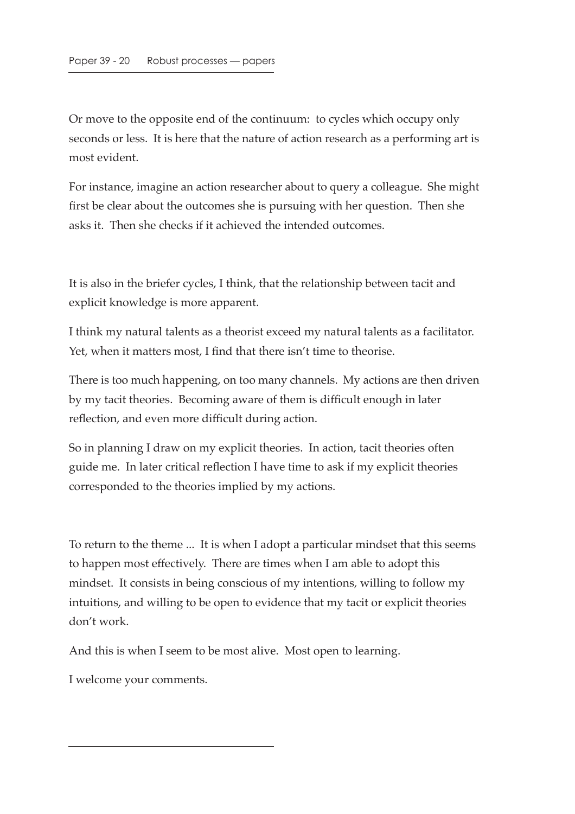Or move to the opposite end of the continuum: to cycles which occupy only seconds or less. It is here that the nature of action research as a performing art is most evident.

For instance, imagine an action researcher about to query a colleague. She might first be clear about the outcomes she is pursuing with her question. Then she asks it. Then she checks if it achieved the intended outcomes.

It is also in the briefer cycles, I think, that the relationship between tacit and explicit knowledge is more apparent.

I think my natural talents as a theorist exceed my natural talents as a facilitator. Yet, when it matters most, I find that there isn't time to theorise.

There is too much happening, on too many channels. My actions are then driven by my tacit theories. Becoming aware of them is difficult enough in later reflection, and even more difficult during action.

So in planning I draw on my explicit theories. In action, tacit theories often guide me. In later critical reflection I have time to ask if my explicit theories corresponded to the theories implied by my actions.

To return to the theme ... It is when I adopt a particular mindset that this seems to happen most effectively. There are times when I am able to adopt this mindset. It consists in being conscious of my intentions, willing to follow my intuitions, and willing to be open to evidence that my tacit or explicit theories don't work.

And this is when I seem to be most alive. Most open to learning.

I welcome your comments.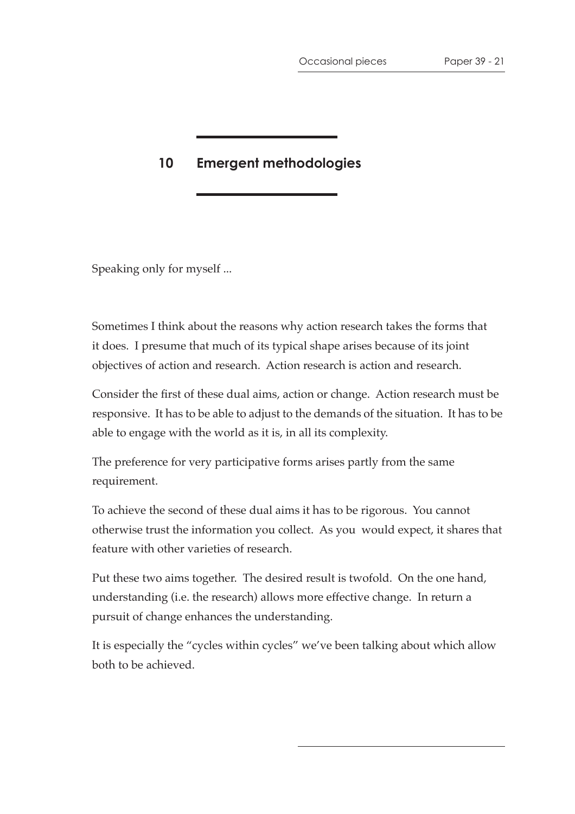#### **10 Emergent methodologies**

Speaking only for myself ...

Sometimes I think about the reasons why action research takes the forms that it does. I presume that much of its typical shape arises because of its joint objectives of action and research. Action research is action and research.

Consider the first of these dual aims, action or change. Action research must be responsive. It has to be able to adjust to the demands of the situation. It has to be able to engage with the world as it is, in all its complexity.

The preference for very participative forms arises partly from the same requirement.

To achieve the second of these dual aims it has to be rigorous. You cannot otherwise trust the information you collect. As you would expect, it shares that feature with other varieties of research.

Put these two aims together. The desired result is twofold. On the one hand, understanding (i.e. the research) allows more effective change. In return a pursuit of change enhances the understanding.

It is especially the "cycles within cycles" we've been talking about which allow both to be achieved.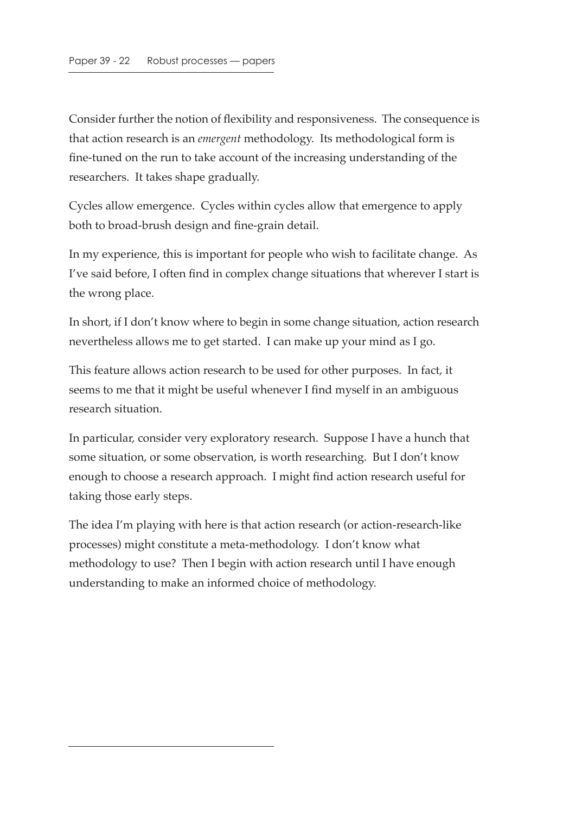Consider further the notion of flexibility and responsiveness. The consequence is that action research is an *emergent* methodology. Its methodological form is fine-tuned on the run to take account of the increasing understanding of the researchers. It takes shape gradually.

Cycles allow emergence. Cycles within cycles allow that emergence to apply both to broad-brush design and fine-grain detail.

In my experience, this is important for people who wish to facilitate change. As I've said before, I often find in complex change situations that wherever I start is the wrong place.

In short, if I don't know where to begin in some change situation, action research nevertheless allows me to get started. I can make up your mind as I go.

This feature allows action research to be used for other purposes. In fact, it seems to me that it might be useful whenever I find myself in an ambiguous research situation.

In particular, consider very exploratory research. Suppose I have a hunch that some situation, or some observation, is worth researching. But I don't know enough to choose a research approach. I might find action research useful for taking those early steps.

The idea I'm playing with here is that action research (or action-research-like processes) might constitute a meta-methodology. I don't know what methodology to use? Then I begin with action research until I have enough understanding to make an informed choice of methodology.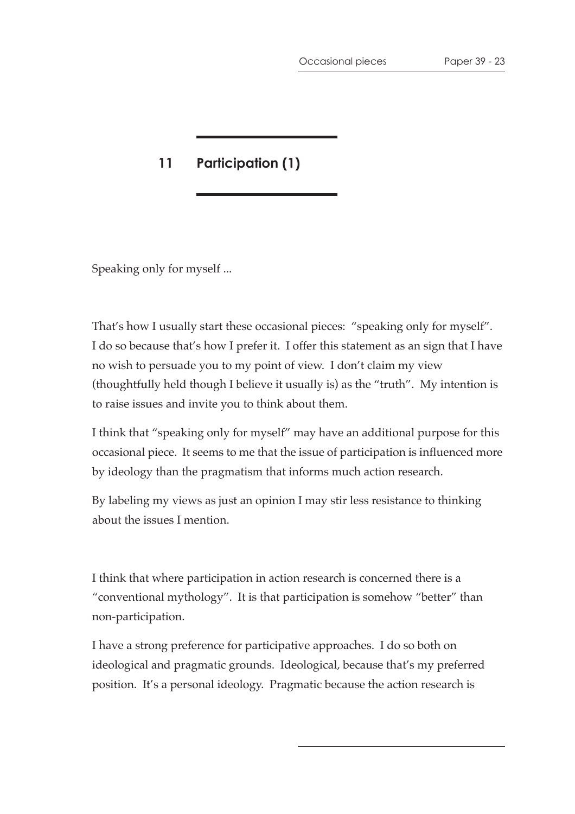#### **11 Participation (1)**

Speaking only for myself ...

That's how I usually start these occasional pieces: "speaking only for myself". I do so because that's how I prefer it. I offer this statement as an sign that I have no wish to persuade you to my point of view. I don't claim my view (thoughtfully held though I believe it usually is) as the "truth". My intention is to raise issues and invite you to think about them.

I think that "speaking only for myself" may have an additional purpose for this occasional piece. It seems to me that the issue of participation is influenced more by ideology than the pragmatism that informs much action research.

By labeling my views as just an opinion I may stir less resistance to thinking about the issues I mention.

I think that where participation in action research is concerned there is a "conventional mythology". It is that participation is somehow "better" than non-participation.

I have a strong preference for participative approaches. I do so both on ideological and pragmatic grounds. Ideological, because that's my preferred position. It's a personal ideology. Pragmatic because the action research is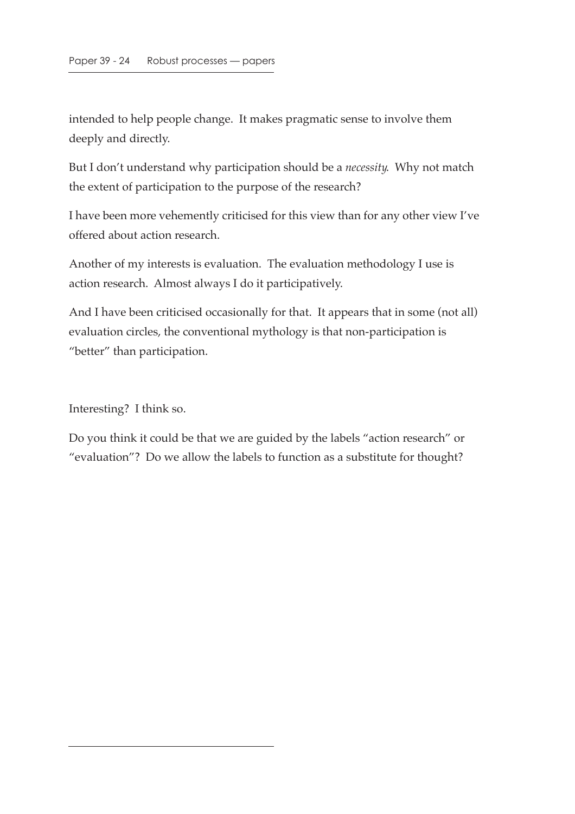intended to help people change. It makes pragmatic sense to involve them deeply and directly.

But I don't understand why participation should be a *necessity*. Why not match the extent of participation to the purpose of the research?

I have been more vehemently criticised for this view than for any other view I've offered about action research.

Another of my interests is evaluation. The evaluation methodology I use is action research. Almost always I do it participatively.

And I have been criticised occasionally for that. It appears that in some (not all) evaluation circles, the conventional mythology is that non-participation is "better" than participation.

Interesting? I think so.

Do you think it could be that we are guided by the labels "action research" or "evaluation"? Do we allow the labels to function as a substitute for thought?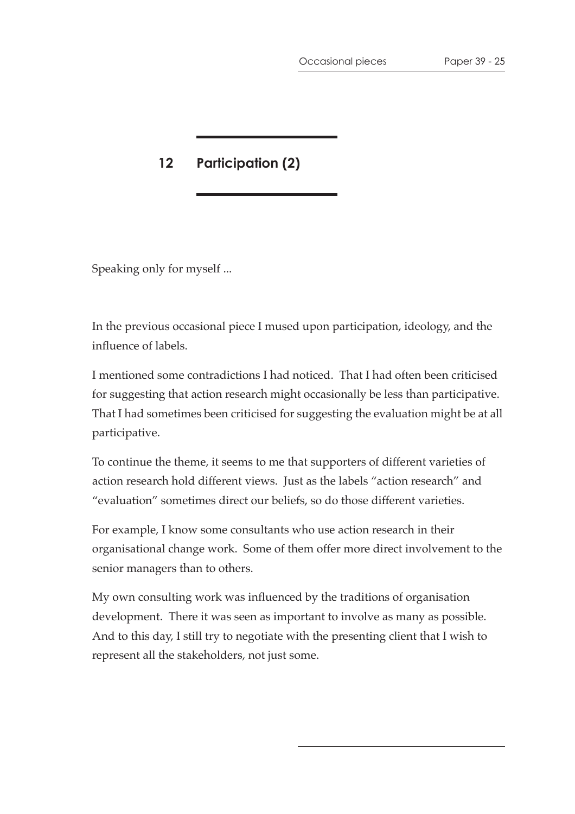#### **12 Participation (2)**

Speaking only for myself ...

In the previous occasional piece I mused upon participation, ideology, and the influence of labels.

I mentioned some contradictions I had noticed. That I had often been criticised for suggesting that action research might occasionally be less than participative. That I had sometimes been criticised for suggesting the evaluation might be at all participative.

To continue the theme, it seems to me that supporters of different varieties of action research hold different views. Just as the labels "action research" and "evaluation" sometimes direct our beliefs, so do those different varieties.

For example, I know some consultants who use action research in their organisational change work. Some of them offer more direct involvement to the senior managers than to others.

My own consulting work was influenced by the traditions of organisation development. There it was seen as important to involve as many as possible. And to this day, I still try to negotiate with the presenting client that I wish to represent all the stakeholders, not just some.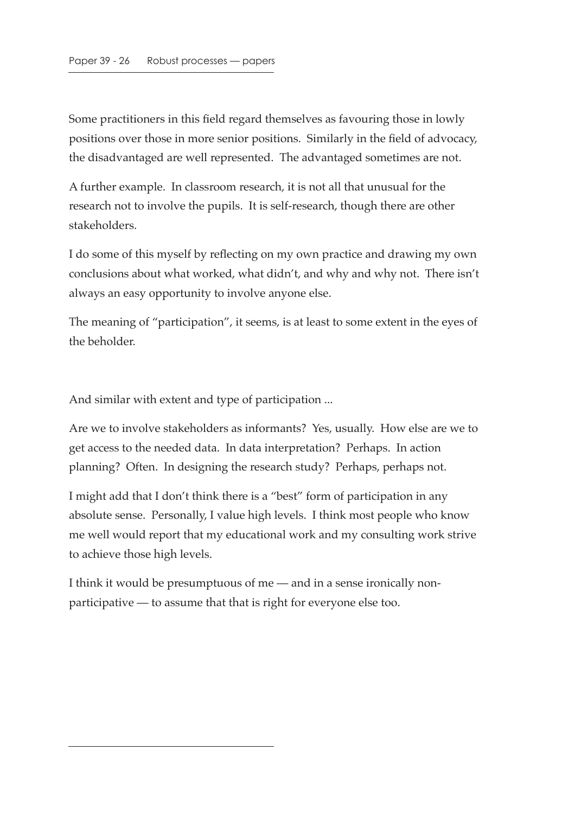Some practitioners in this field regard themselves as favouring those in lowly positions over those in more senior positions. Similarly in the field of advocacy, the disadvantaged are well represented. The advantaged sometimes are not.

A further example. In classroom research, it is not all that unusual for the research not to involve the pupils. It is self-research, though there are other stakeholders.

I do some of this myself by reflecting on my own practice and drawing my own conclusions about what worked, what didn't, and why and why not. There isn't always an easy opportunity to involve anyone else.

The meaning of "participation", it seems, is at least to some extent in the eyes of the beholder.

And similar with extent and type of participation ...

Are we to involve stakeholders as informants? Yes, usually. How else are we to get access to the needed data. In data interpretation? Perhaps. In action planning? Often. In designing the research study? Perhaps, perhaps not.

I might add that I don't think there is a "best" form of participation in any absolute sense. Personally, I value high levels. I think most people who know me well would report that my educational work and my consulting work strive to achieve those high levels.

I think it would be presumptuous of me — and in a sense ironically nonparticipative — to assume that that is right for everyone else too.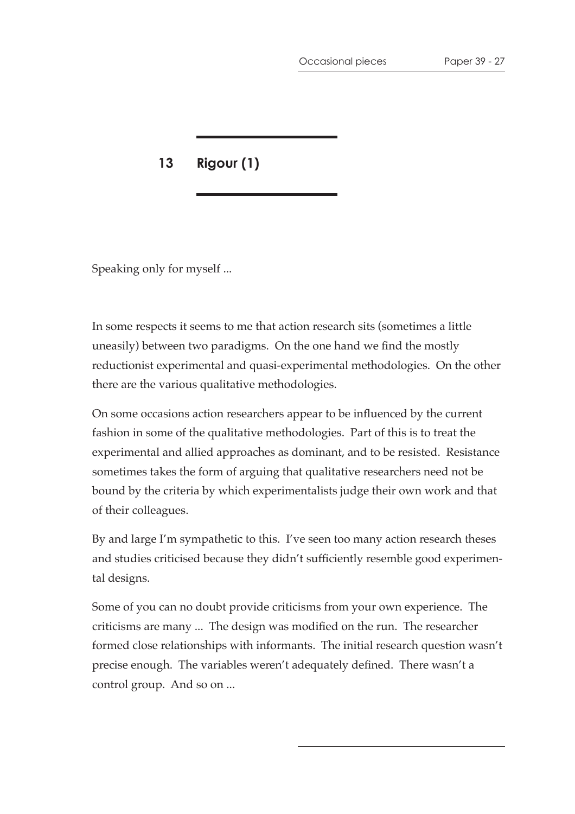#### **13 Rigour (1)**

Speaking only for myself ...

In some respects it seems to me that action research sits (sometimes a little uneasily) between two paradigms. On the one hand we find the mostly reductionist experimental and quasi-experimental methodologies. On the other there are the various qualitative methodologies.

On some occasions action researchers appear to be influenced by the current fashion in some of the qualitative methodologies. Part of this is to treat the experimental and allied approaches as dominant, and to be resisted. Resistance sometimes takes the form of arguing that qualitative researchers need not be bound by the criteria by which experimentalists judge their own work and that of their colleagues.

By and large I'm sympathetic to this. I've seen too many action research theses and studies criticised because they didn't sufficiently resemble good experimental designs.

Some of you can no doubt provide criticisms from your own experience. The criticisms are many ... The design was modified on the run. The researcher formed close relationships with informants. The initial research question wasn't precise enough. The variables weren't adequately defined. There wasn't a control group. And so on ...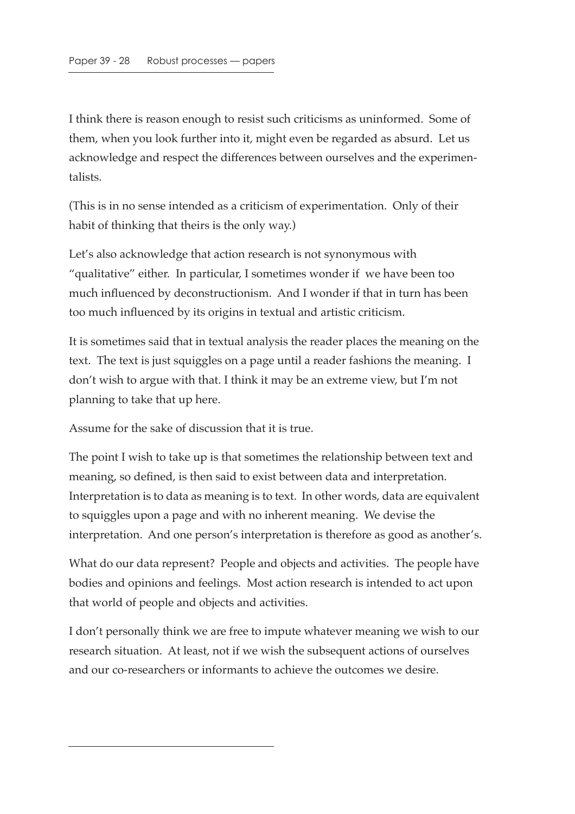I think there is reason enough to resist such criticisms as uninformed. Some of them, when you look further into it, might even be regarded as absurd. Let us acknowledge and respect the differences between ourselves and the experimentalists.

(This is in no sense intended as a criticism of experimentation. Only of their habit of thinking that theirs is the only way.)

Let's also acknowledge that action research is not synonymous with "qualitative" either. In particular, I sometimes wonder if we have been too much influenced by deconstructionism. And I wonder if that in turn has been too much influenced by its origins in textual and artistic criticism.

It is sometimes said that in textual analysis the reader places the meaning on the text. The text is just squiggles on a page until a reader fashions the meaning. I don't wish to argue with that. I think it may be an extreme view, but I'm not planning to take that up here.

Assume for the sake of discussion that it is true.

The point I wish to take up is that sometimes the relationship between text and meaning, so defined, is then said to exist between data and interpretation. Interpretation is to data as meaning is to text. In other words, data are equivalent to squiggles upon a page and with no inherent meaning. We devise the interpretation. And one person's interpretation is therefore as good as another's.

What do our data represent? People and objects and activities. The people have bodies and opinions and feelings. Most action research is intended to act upon that world of people and objects and activities.

I don't personally think we are free to impute whatever meaning we wish to our research situation. At least, not if we wish the subsequent actions of ourselves and our co-researchers or informants to achieve the outcomes we desire.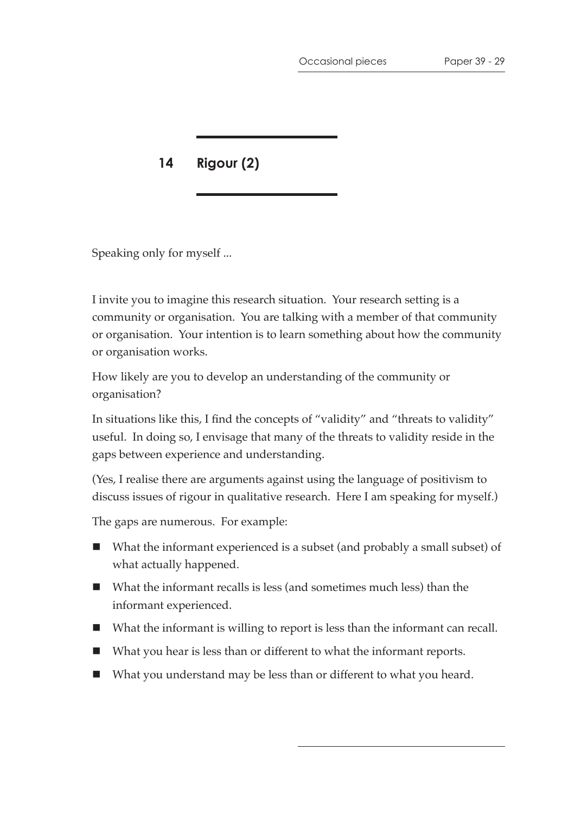**14 Rigour (2)**

Speaking only for myself ...

I invite you to imagine this research situation. Your research setting is a community or organisation. You are talking with a member of that community or organisation. Your intention is to learn something about how the community or organisation works.

How likely are you to develop an understanding of the community or organisation?

In situations like this, I find the concepts of "validity" and "threats to validity" useful. In doing so, I envisage that many of the threats to validity reside in the gaps between experience and understanding.

(Yes, I realise there are arguments against using the language of positivism to discuss issues of rigour in qualitative research. Here I am speaking for myself.)

The gaps are numerous. For example:

- What the informant experienced is a subset (and probably a small subset) of what actually happened.
- What the informant recalls is less (and sometimes much less) than the informant experienced.
- What the informant is willing to report is less than the informant can recall.
- What you hear is less than or different to what the informant reports.
- What you understand may be less than or different to what you heard.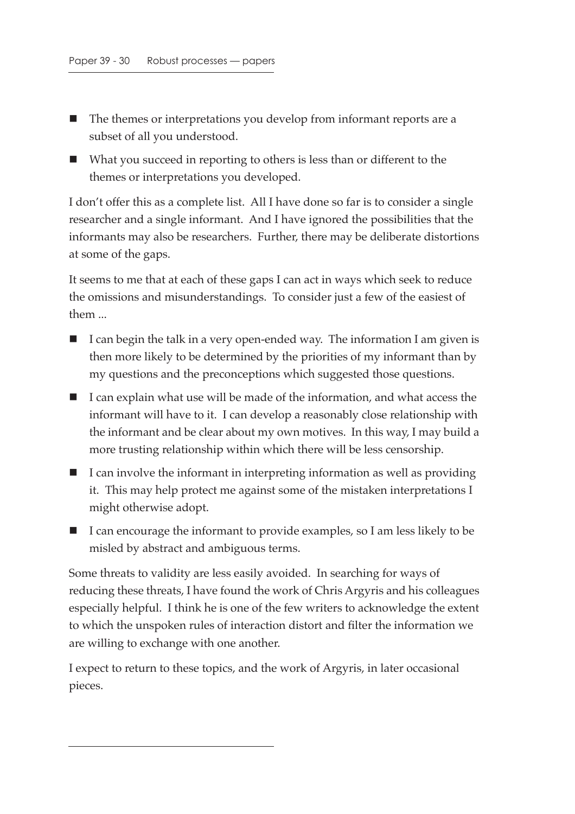- The themes or interpretations you develop from informant reports are a subset of all you understood.
- What you succeed in reporting to others is less than or different to the themes or interpretations you developed.

I don't offer this as a complete list. All I have done so far is to consider a single researcher and a single informant. And I have ignored the possibilities that the informants may also be researchers. Further, there may be deliberate distortions at some of the gaps.

It seems to me that at each of these gaps I can act in ways which seek to reduce the omissions and misunderstandings. To consider just a few of the easiest of them ...

- $\blacksquare$  I can begin the talk in a very open-ended way. The information I am given is then more likely to be determined by the priorities of my informant than by my questions and the preconceptions which suggested those questions.
- I can explain what use will be made of the information, and what access the informant will have to it. I can develop a reasonably close relationship with the informant and be clear about my own motives. In this way, I may build a more trusting relationship within which there will be less censorship.
- $\blacksquare$  I can involve the informant in interpreting information as well as providing it. This may help protect me against some of the mistaken interpretations I might otherwise adopt.
- $\blacksquare$  I can encourage the informant to provide examples, so I am less likely to be misled by abstract and ambiguous terms.

Some threats to validity are less easily avoided. In searching for ways of reducing these threats, I have found the work of Chris Argyris and his colleagues especially helpful. I think he is one of the few writers to acknowledge the extent to which the unspoken rules of interaction distort and filter the information we are willing to exchange with one another.

I expect to return to these topics, and the work of Argyris, in later occasional pieces.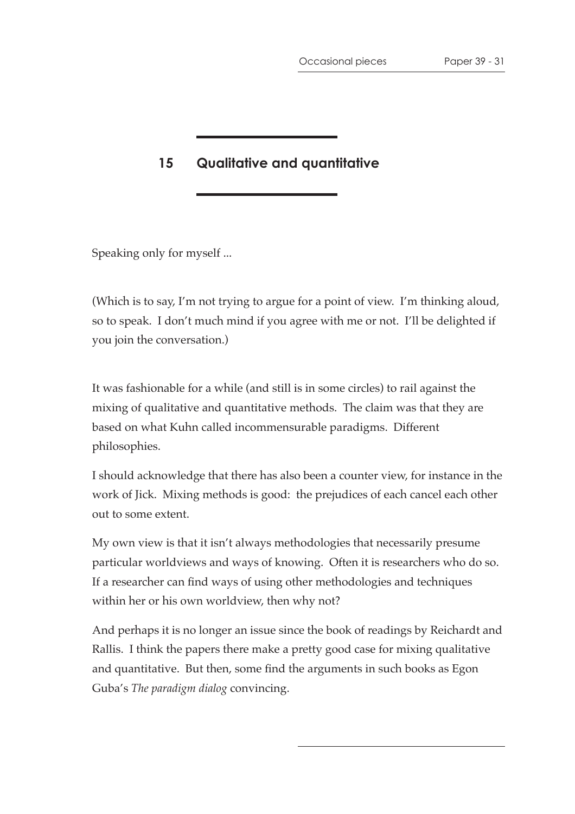### **15 Qualitative and quantitative**

Speaking only for myself ...

(Which is to say, I'm not trying to argue for a point of view. I'm thinking aloud, so to speak. I don't much mind if you agree with me or not. I'll be delighted if you join the conversation.)

It was fashionable for a while (and still is in some circles) to rail against the mixing of qualitative and quantitative methods. The claim was that they are based on what Kuhn called incommensurable paradigms. Different philosophies.

I should acknowledge that there has also been a counter view, for instance in the work of Jick. Mixing methods is good: the prejudices of each cancel each other out to some extent.

My own view is that it isn't always methodologies that necessarily presume particular worldviews and ways of knowing. Often it is researchers who do so. If a researcher can find ways of using other methodologies and techniques within her or his own worldview, then why not?

And perhaps it is no longer an issue since the book of readings by Reichardt and Rallis. I think the papers there make a pretty good case for mixing qualitative and quantitative. But then, some find the arguments in such books as Egon Guba's *The paradigm dialog* convincing.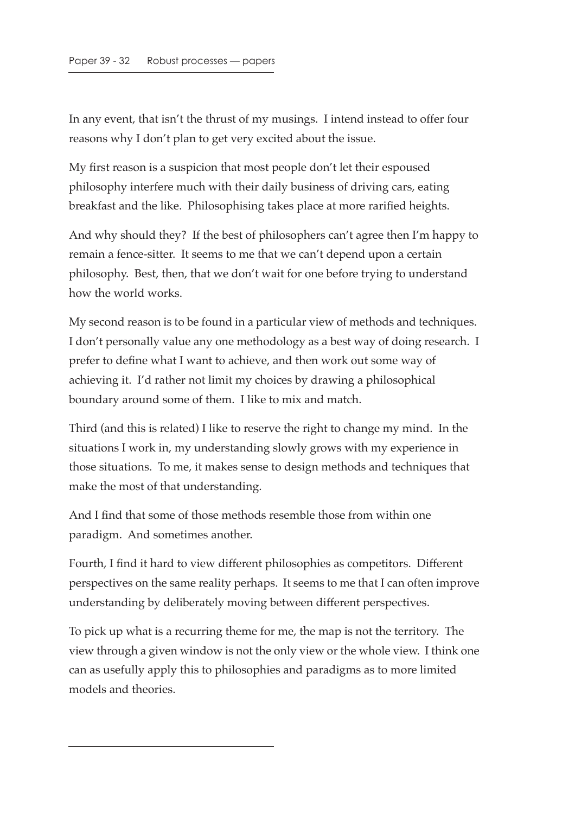In any event, that isn't the thrust of my musings. I intend instead to offer four reasons why I don't plan to get very excited about the issue.

My first reason is a suspicion that most people don't let their espoused philosophy interfere much with their daily business of driving cars, eating breakfast and the like. Philosophising takes place at more rarified heights.

And why should they? If the best of philosophers can't agree then I'm happy to remain a fence-sitter. It seems to me that we can't depend upon a certain philosophy. Best, then, that we don't wait for one before trying to understand how the world works.

My second reason is to be found in a particular view of methods and techniques. I don't personally value any one methodology as a best way of doing research. I prefer to define what I want to achieve, and then work out some way of achieving it. I'd rather not limit my choices by drawing a philosophical boundary around some of them. I like to mix and match.

Third (and this is related) I like to reserve the right to change my mind. In the situations I work in, my understanding slowly grows with my experience in those situations. To me, it makes sense to design methods and techniques that make the most of that understanding.

And I find that some of those methods resemble those from within one paradigm. And sometimes another.

Fourth, I find it hard to view different philosophies as competitors. Different perspectives on the same reality perhaps. It seems to me that I can often improve understanding by deliberately moving between different perspectives.

To pick up what is a recurring theme for me, the map is not the territory. The view through a given window is not the only view or the whole view. I think one can as usefully apply this to philosophies and paradigms as to more limited models and theories.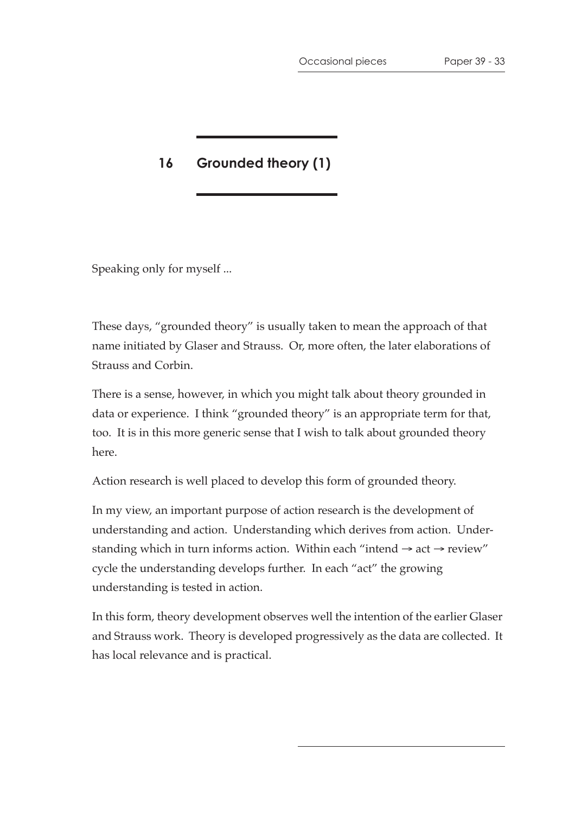#### **16 Grounded theory (1)**

Speaking only for myself ...

These days, "grounded theory" is usually taken to mean the approach of that name initiated by Glaser and Strauss. Or, more often, the later elaborations of Strauss and Corbin.

There is a sense, however, in which you might talk about theory grounded in data or experience. I think "grounded theory" is an appropriate term for that, too. It is in this more generic sense that I wish to talk about grounded theory here.

Action research is well placed to develop this form of grounded theory.

In my view, an important purpose of action research is the development of understanding and action. Understanding which derives from action. Understanding which in turn informs action. Within each "intend  $\rightarrow$  act  $\rightarrow$  review" cycle the understanding develops further. In each "act" the growing understanding is tested in action.

In this form, theory development observes well the intention of the earlier Glaser and Strauss work. Theory is developed progressively as the data are collected. It has local relevance and is practical.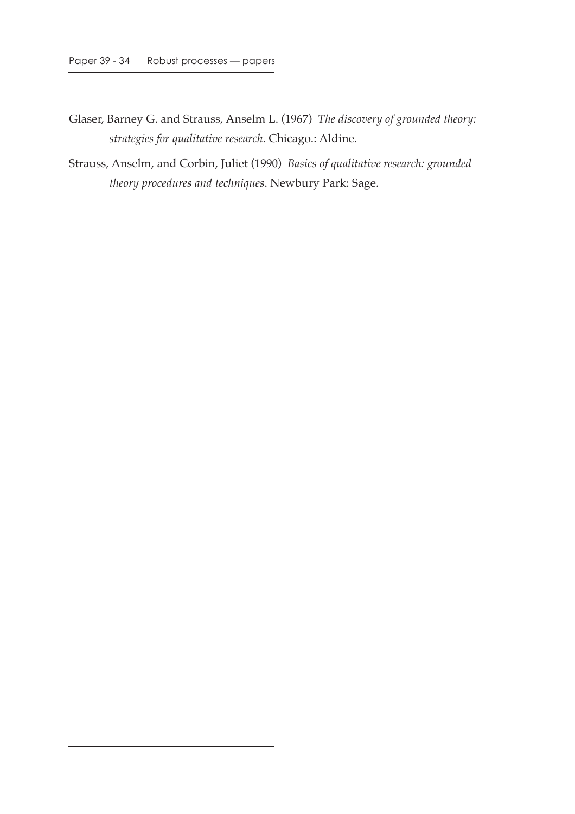- Glaser, Barney G. and Strauss, Anselm L. (1967) *The discovery of grounded theory: strategies for qualitative research*. Chicago.: Aldine.
- Strauss, Anselm, and Corbin, Juliet (1990) *Basics of qualitative research: grounded theory procedures and techniques*. Newbury Park: Sage.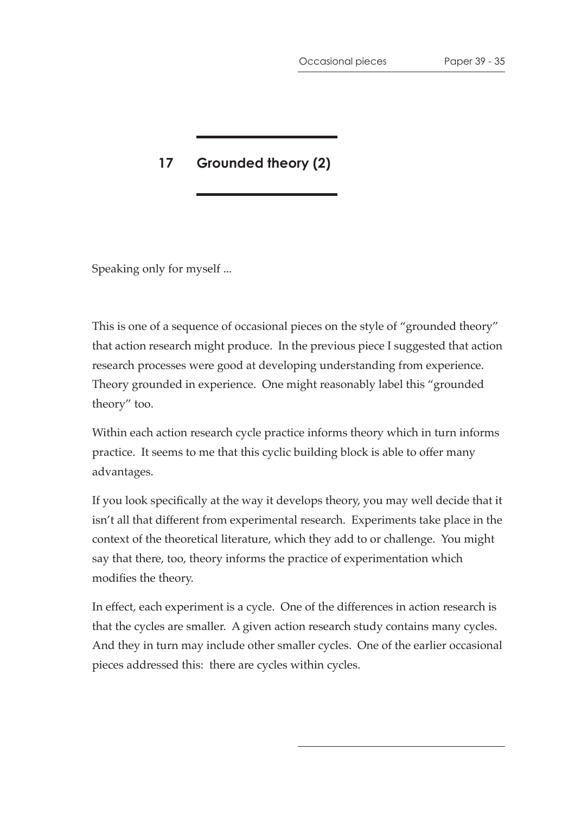## **17 Grounded theory (2)**

Speaking only for myself ...

This is one of a sequence of occasional pieces on the style of "grounded theory" that action research might produce. In the previous piece I suggested that action research processes were good at developing understanding from experience. Theory grounded in experience. One might reasonably label this "grounded theory" too.

Within each action research cycle practice informs theory which in turn informs practice. It seems to me that this cyclic building block is able to offer many advantages.

If you look specifically at the way it develops theory, you may well decide that it isn't all that different from experimental research. Experiments take place in the context of the theoretical literature, which they add to or challenge. You might say that there, too, theory informs the practice of experimentation which modifies the theory.

In effect, each experiment is a cycle. One of the differences in action research is that the cycles are smaller. A given action research study contains many cycles. And they in turn may include other smaller cycles. One of the earlier occasional pieces addressed this: there are cycles within cycles.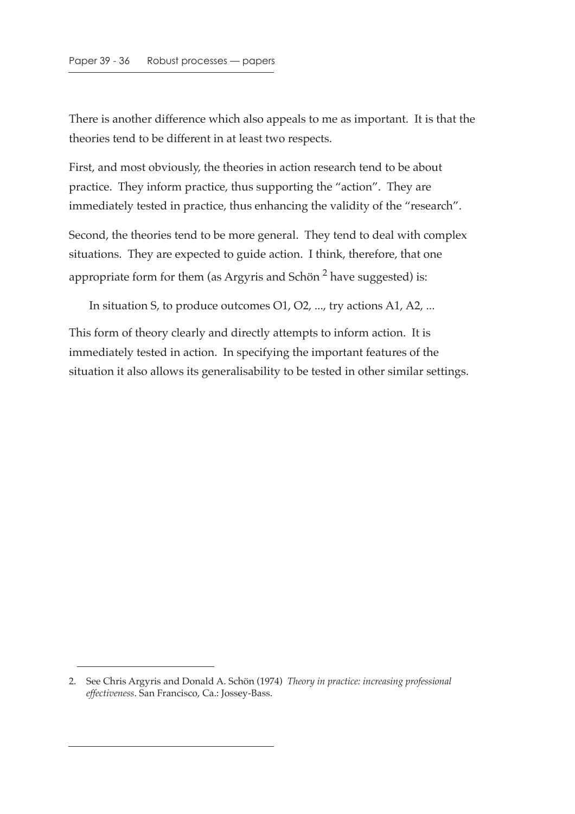There is another difference which also appeals to me as important. It is that the theories tend to be different in at least two respects.

First, and most obviously, the theories in action research tend to be about practice. They inform practice, thus supporting the "action". They are immediately tested in practice, thus enhancing the validity of the "research".

Second, the theories tend to be more general. They tend to deal with complex situations. They are expected to guide action. I think, therefore, that one appropriate form for them (as Argyris and Schön<sup>2</sup> have suggested) is:

In situation S, to produce outcomes O1, O2, ..., try actions A1, A2, ...

This form of theory clearly and directly attempts to inform action. It is immediately tested in action. In specifying the important features of the situation it also allows its generalisability to be tested in other similar settings.

<sup>2.</sup> See Chris Argyris and Donald A. Schön (1974) *Theory in practice: increasing professional effectiveness*. San Francisco, Ca.: Jossey-Bass.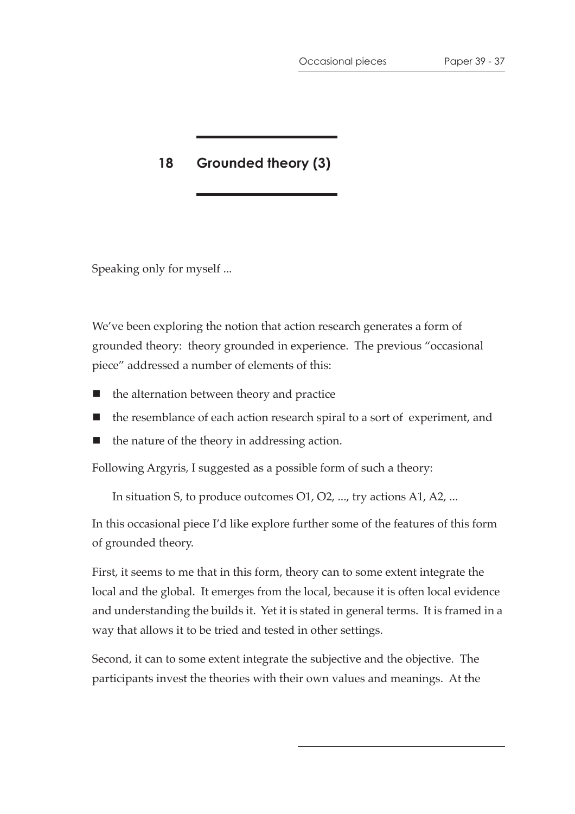#### **18 Grounded theory (3)**

Speaking only for myself ...

We've been exploring the notion that action research generates a form of grounded theory: theory grounded in experience. The previous "occasional piece" addressed a number of elements of this:

- $\blacksquare$  the alternation between theory and practice
- the resemblance of each action research spiral to a sort of experiment, and
- $\blacksquare$  the nature of the theory in addressing action.

Following Argyris, I suggested as a possible form of such a theory:

In situation S, to produce outcomes O1, O2, ..., try actions A1, A2, ...

In this occasional piece I'd like explore further some of the features of this form of grounded theory.

First, it seems to me that in this form, theory can to some extent integrate the local and the global. It emerges from the local, because it is often local evidence and understanding the builds it. Yet it is stated in general terms. It is framed in a way that allows it to be tried and tested in other settings.

Second, it can to some extent integrate the subjective and the objective. The participants invest the theories with their own values and meanings. At the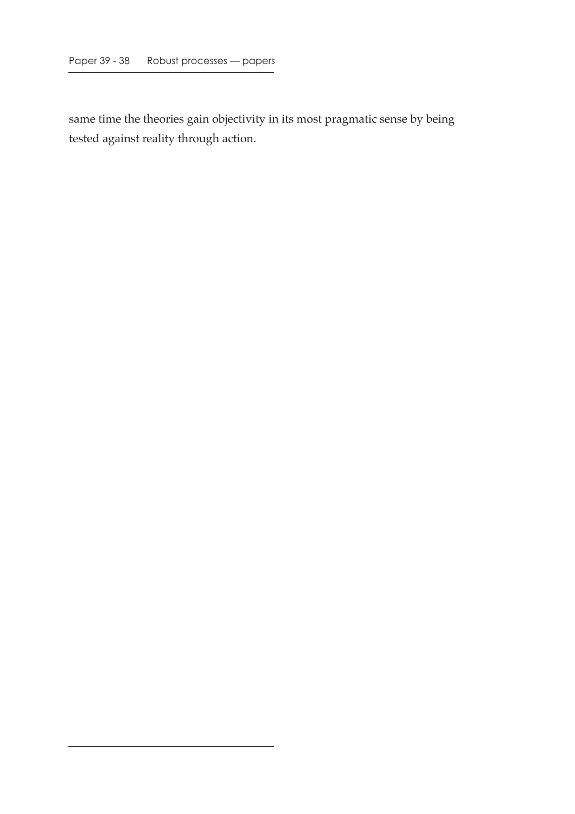same time the theories gain objectivity in its most pragmatic sense by being tested against reality through action.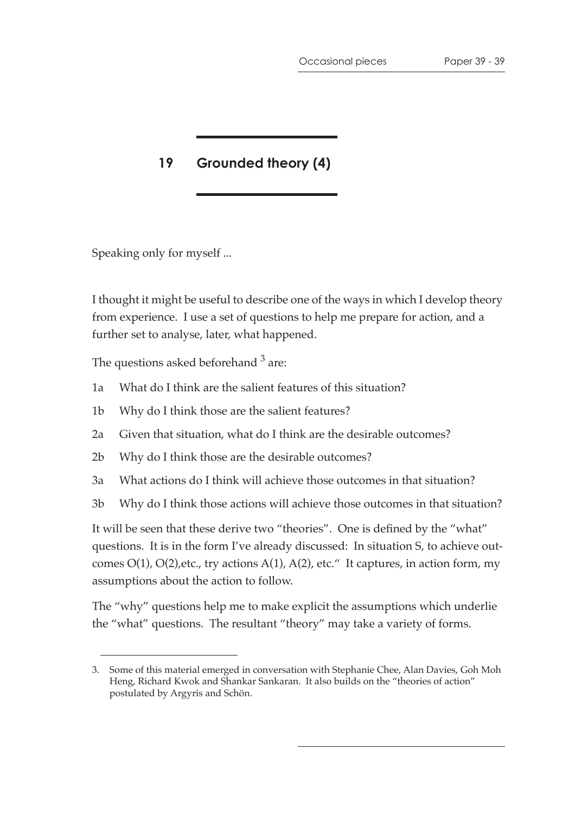#### **19 Grounded theory (4)**

Speaking only for myself ...

I thought it might be useful to describe one of the ways in which I develop theory from experience. I use a set of questions to help me prepare for action, and a further set to analyse, later, what happened.

The questions asked beforehand  $^3$  are:

- 1a What do I think are the salient features of this situation?
- 1b Why do I think those are the salient features?
- 2a Given that situation, what do I think are the desirable outcomes?
- 2b Why do I think those are the desirable outcomes?
- 3a What actions do I think will achieve those outcomes in that situation?
- 3b Why do I think those actions will achieve those outcomes in that situation?

It will be seen that these derive two "theories". One is defined by the "what" questions. It is in the form I've already discussed: In situation S, to achieve outcomes  $O(1)$ ,  $O(2)$ , etc., try actions  $A(1)$ ,  $A(2)$ , etc." It captures, in action form, my assumptions about the action to follow.

The "why" questions help me to make explicit the assumptions which underlie the "what" questions. The resultant "theory" may take a variety of forms.

<sup>3.</sup> Some of this material emerged in conversation with Stephanie Chee, Alan Davies, Goh Moh Heng, Richard Kwok and Shankar Sankaran. It also builds on the "theories of action" postulated by Argyris and Schön.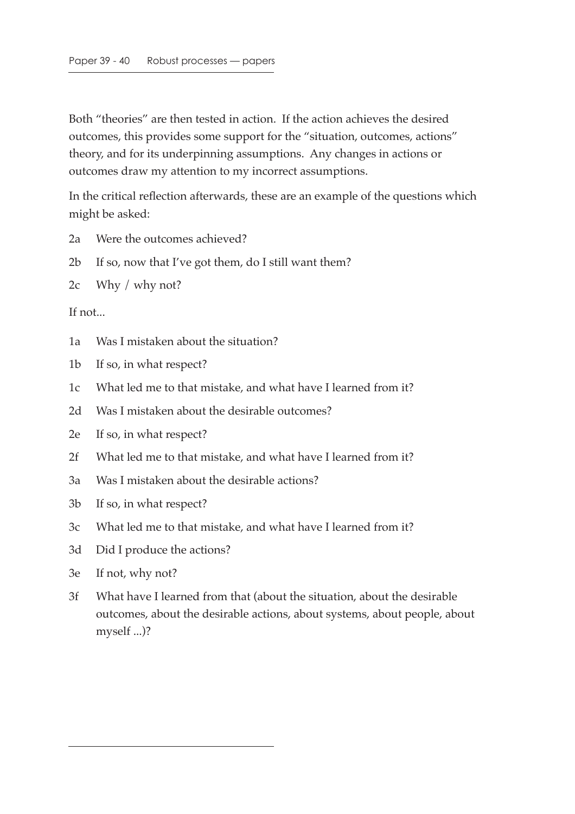Both "theories" are then tested in action. If the action achieves the desired outcomes, this provides some support for the "situation, outcomes, actions" theory, and for its underpinning assumptions. Any changes in actions or outcomes draw my attention to my incorrect assumptions.

In the critical reflection afterwards, these are an example of the questions which might be asked:

- 2a Were the outcomes achieved?
- 2b If so, now that I've got them, do I still want them?
- 2c Why / why not?

If not...

- 1a Was I mistaken about the situation?
- 1b If so, in what respect?
- 1c What led me to that mistake, and what have I learned from it?
- 2d Was I mistaken about the desirable outcomes?
- 2e If so, in what respect?
- 2f What led me to that mistake, and what have I learned from it?
- 3a Was I mistaken about the desirable actions?
- 3b If so, in what respect?
- 3c What led me to that mistake, and what have I learned from it?
- 3d Did I produce the actions?
- 3e If not, why not?
- 3f What have I learned from that (about the situation, about the desirable outcomes, about the desirable actions, about systems, about people, about myself ...)?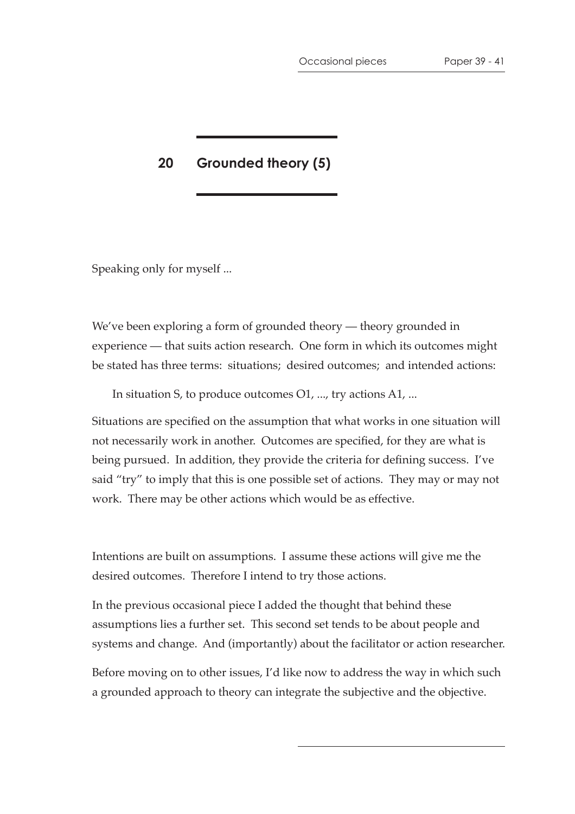#### **20 Grounded theory (5)**

Speaking only for myself ...

We've been exploring a form of grounded theory — theory grounded in experience — that suits action research. One form in which its outcomes might be stated has three terms: situations; desired outcomes; and intended actions:

In situation S, to produce outcomes O1, ..., try actions A1, ...

Situations are specified on the assumption that what works in one situation will not necessarily work in another. Outcomes are specified, for they are what is being pursued. In addition, they provide the criteria for defining success. I've said "try" to imply that this is one possible set of actions. They may or may not work. There may be other actions which would be as effective.

Intentions are built on assumptions. I assume these actions will give me the desired outcomes. Therefore I intend to try those actions.

In the previous occasional piece I added the thought that behind these assumptions lies a further set. This second set tends to be about people and systems and change. And (importantly) about the facilitator or action researcher.

Before moving on to other issues, I'd like now to address the way in which such a grounded approach to theory can integrate the subjective and the objective.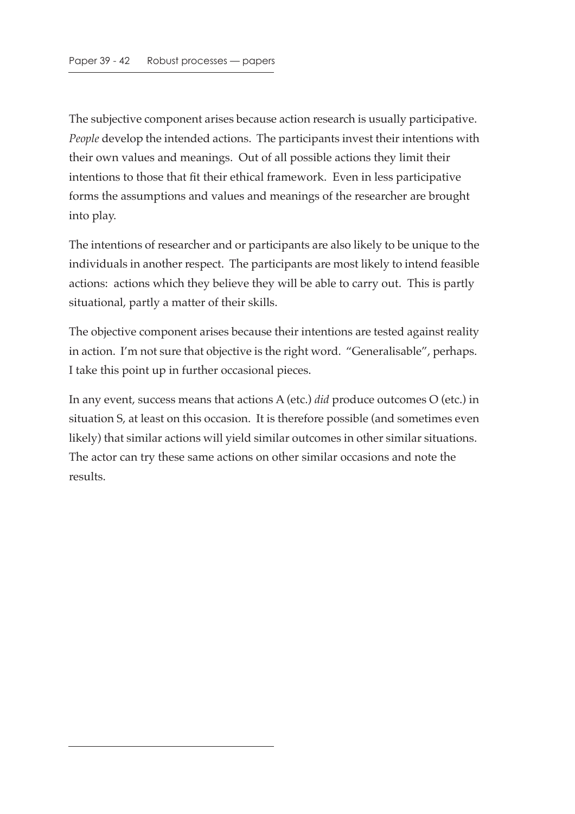The subjective component arises because action research is usually participative. *People* develop the intended actions. The participants invest their intentions with their own values and meanings. Out of all possible actions they limit their intentions to those that fit their ethical framework. Even in less participative forms the assumptions and values and meanings of the researcher are brought into play.

The intentions of researcher and or participants are also likely to be unique to the individuals in another respect. The participants are most likely to intend feasible actions: actions which they believe they will be able to carry out. This is partly situational, partly a matter of their skills.

The objective component arises because their intentions are tested against reality in action. I'm not sure that objective is the right word. "Generalisable", perhaps. I take this point up in further occasional pieces.

In any event, success means that actions A (etc.) *did* produce outcomes O (etc.) in situation S, at least on this occasion. It is therefore possible (and sometimes even likely) that similar actions will yield similar outcomes in other similar situations. The actor can try these same actions on other similar occasions and note the results.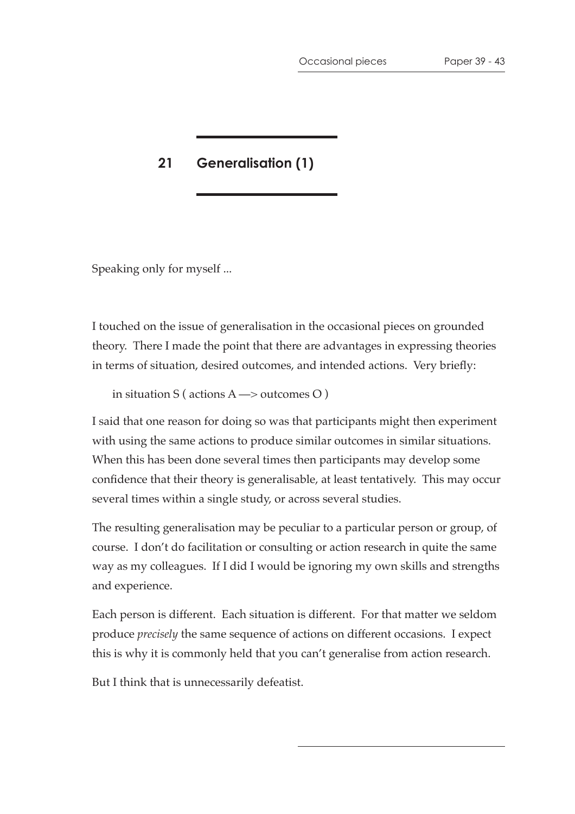#### **21 Generalisation (1)**

Speaking only for myself ...

I touched on the issue of generalisation in the occasional pieces on grounded theory. There I made the point that there are advantages in expressing theories in terms of situation, desired outcomes, and intended actions. Very briefly:

```
in situation S (\alphactions A —> outcomes O)
```
I said that one reason for doing so was that participants might then experiment with using the same actions to produce similar outcomes in similar situations. When this has been done several times then participants may develop some confidence that their theory is generalisable, at least tentatively. This may occur several times within a single study, or across several studies.

The resulting generalisation may be peculiar to a particular person or group, of course. I don't do facilitation or consulting or action research in quite the same way as my colleagues. If I did I would be ignoring my own skills and strengths and experience.

Each person is different. Each situation is different. For that matter we seldom produce *precisely* the same sequence of actions on different occasions. I expect this is why it is commonly held that you can't generalise from action research.

But I think that is unnecessarily defeatist.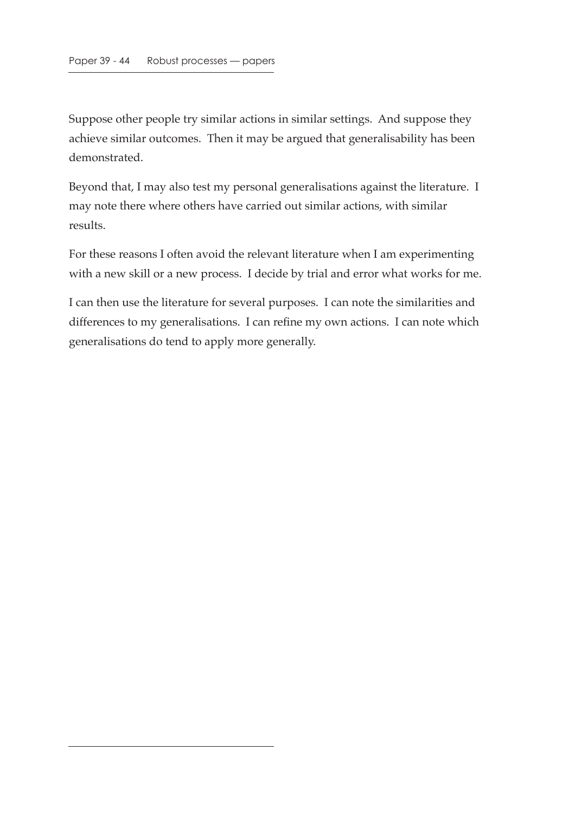Suppose other people try similar actions in similar settings. And suppose they achieve similar outcomes. Then it may be argued that generalisability has been demonstrated.

Beyond that, I may also test my personal generalisations against the literature. I may note there where others have carried out similar actions, with similar results.

For these reasons I often avoid the relevant literature when I am experimenting with a new skill or a new process. I decide by trial and error what works for me.

I can then use the literature for several purposes. I can note the similarities and differences to my generalisations. I can refine my own actions. I can note which generalisations do tend to apply more generally.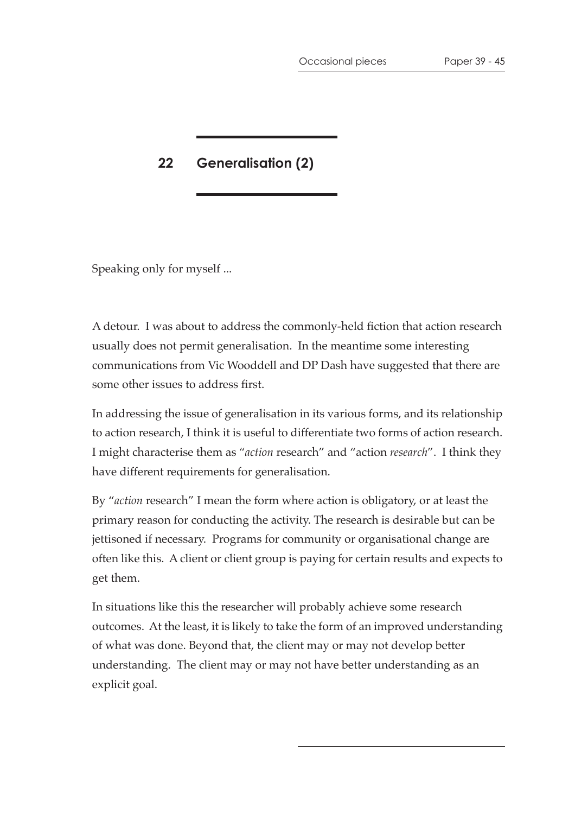#### **22 Generalisation (2)**

Speaking only for myself ...

A detour. I was about to address the commonly-held fiction that action research usually does not permit generalisation. In the meantime some interesting communications from Vic Wooddell and DP Dash have suggested that there are some other issues to address first.

In addressing the issue of generalisation in its various forms, and its relationship to action research, I think it is useful to differentiate two forms of action research. I might characterise them as "*action* research" and "action *research*". I think they have different requirements for generalisation.

By "*action* research" I mean the form where action is obligatory, or at least the primary reason for conducting the activity. The research is desirable but can be jettisoned if necessary. Programs for community or organisational change are often like this. A client or client group is paying for certain results and expects to get them.

In situations like this the researcher will probably achieve some research outcomes. At the least, it is likely to take the form of an improved understanding of what was done. Beyond that, the client may or may not develop better understanding. The client may or may not have better understanding as an explicit goal.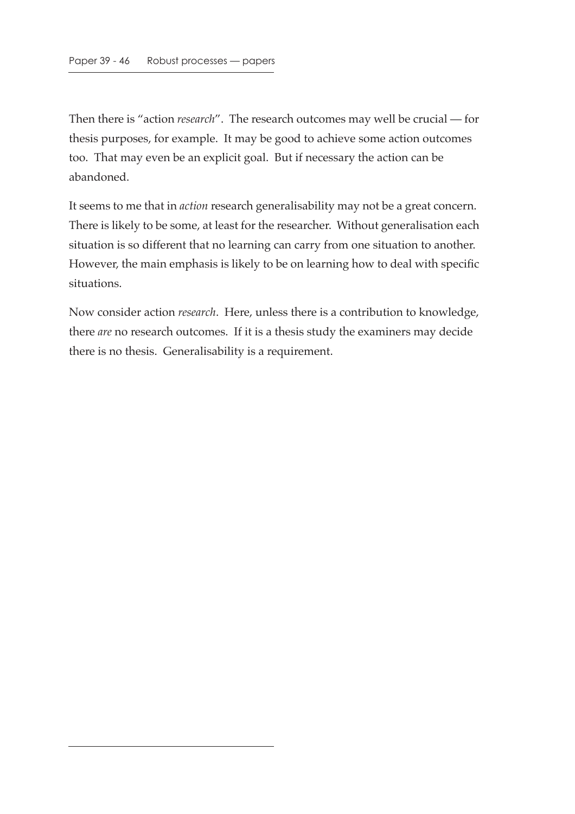Then there is "action *research*". The research outcomes may well be crucial — for thesis purposes, for example. It may be good to achieve some action outcomes too. That may even be an explicit goal. But if necessary the action can be abandoned.

It seems to me that in *action* research generalisability may not be a great concern. There is likely to be some, at least for the researcher. Without generalisation each situation is so different that no learning can carry from one situation to another. However, the main emphasis is likely to be on learning how to deal with specific situations.

Now consider action *research*. Here, unless there is a contribution to knowledge, there *are* no research outcomes. If it is a thesis study the examiners may decide there is no thesis. Generalisability is a requirement.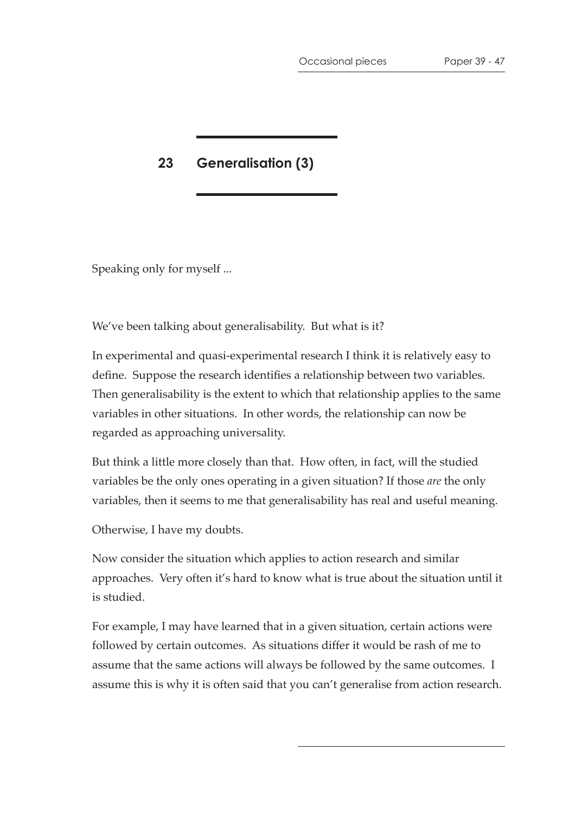#### **23 Generalisation (3)**

Speaking only for myself ...

We've been talking about generalisability. But what is it?

In experimental and quasi-experimental research I think it is relatively easy to define. Suppose the research identifies a relationship between two variables. Then generalisability is the extent to which that relationship applies to the same variables in other situations. In other words, the relationship can now be regarded as approaching universality.

But think a little more closely than that. How often, in fact, will the studied variables be the only ones operating in a given situation? If those *are* the only variables, then it seems to me that generalisability has real and useful meaning.

Otherwise, I have my doubts.

Now consider the situation which applies to action research and similar approaches. Very often it's hard to know what is true about the situation until it is studied.

For example, I may have learned that in a given situation, certain actions were followed by certain outcomes. As situations differ it would be rash of me to assume that the same actions will always be followed by the same outcomes. I assume this is why it is often said that you can't generalise from action research.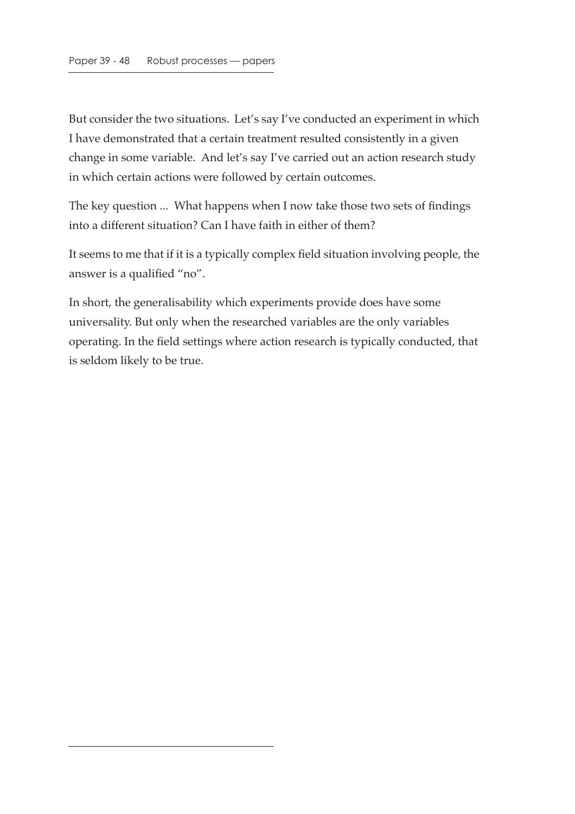But consider the two situations. Let's say I've conducted an experiment in which I have demonstrated that a certain treatment resulted consistently in a given change in some variable. And let's say I've carried out an action research study in which certain actions were followed by certain outcomes.

The key question ... What happens when I now take those two sets of findings into a different situation? Can I have faith in either of them?

It seems to me that if it is a typically complex field situation involving people, the answer is a qualified "no".

In short, the generalisability which experiments provide does have some universality. But only when the researched variables are the only variables operating. In the field settings where action research is typically conducted, that is seldom likely to be true.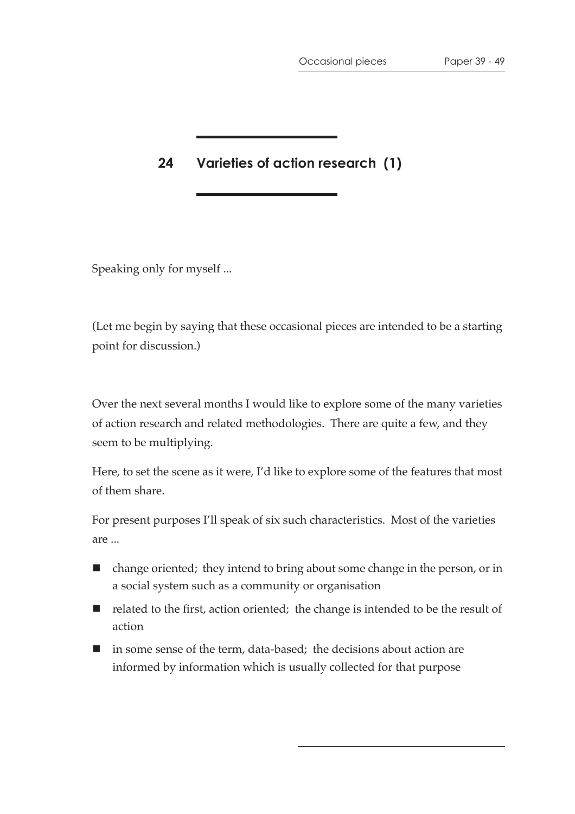## **24 Varieties of action research (1)**

Speaking only for myself ...

(Let me begin by saying that these occasional pieces are intended to be a starting point for discussion.)

Over the next several months I would like to explore some of the many varieties of action research and related methodologies. There are quite a few, and they seem to be multiplying.

Here, to set the scene as it were, I'd like to explore some of the features that most of them share.

For present purposes I'll speak of six such characteristics. Most of the varieties are ...

- change oriented; they intend to bring about some change in the person, or in a social system such as a community or organisation
- $\blacksquare$  related to the first, action oriented; the change is intended to be the result of action
- in some sense of the term, data-based; the decisions about action are informed by information which is usually collected for that purpose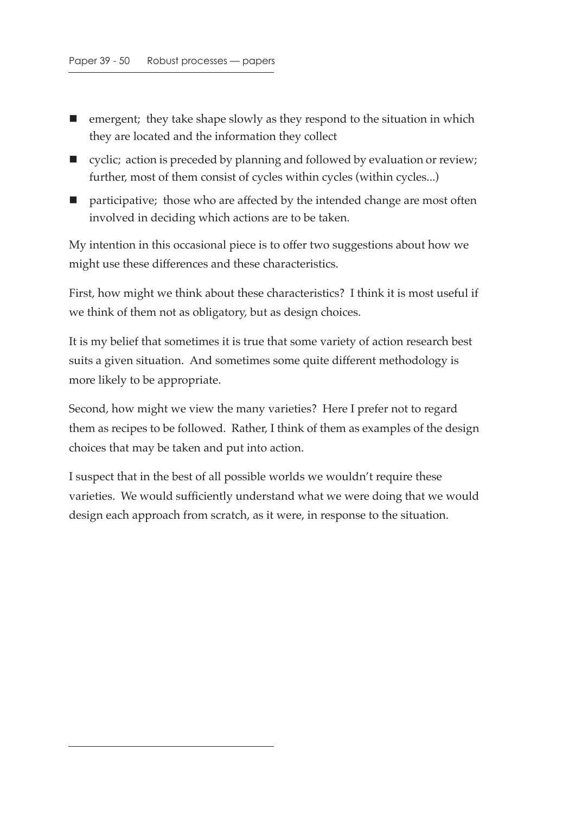- emergent; they take shape slowly as they respond to the situation in which they are located and the information they collect
- cyclic; action is preceded by planning and followed by evaluation or review; further, most of them consist of cycles within cycles (within cycles...)
- participative; those who are affected by the intended change are most often involved in deciding which actions are to be taken.

My intention in this occasional piece is to offer two suggestions about how we might use these differences and these characteristics.

First, how might we think about these characteristics? I think it is most useful if we think of them not as obligatory, but as design choices.

It is my belief that sometimes it is true that some variety of action research best suits a given situation. And sometimes some quite different methodology is more likely to be appropriate.

Second, how might we view the many varieties? Here I prefer not to regard them as recipes to be followed. Rather, I think of them as examples of the design choices that may be taken and put into action.

I suspect that in the best of all possible worlds we wouldn't require these varieties. We would sufficiently understand what we were doing that we would design each approach from scratch, as it were, in response to the situation.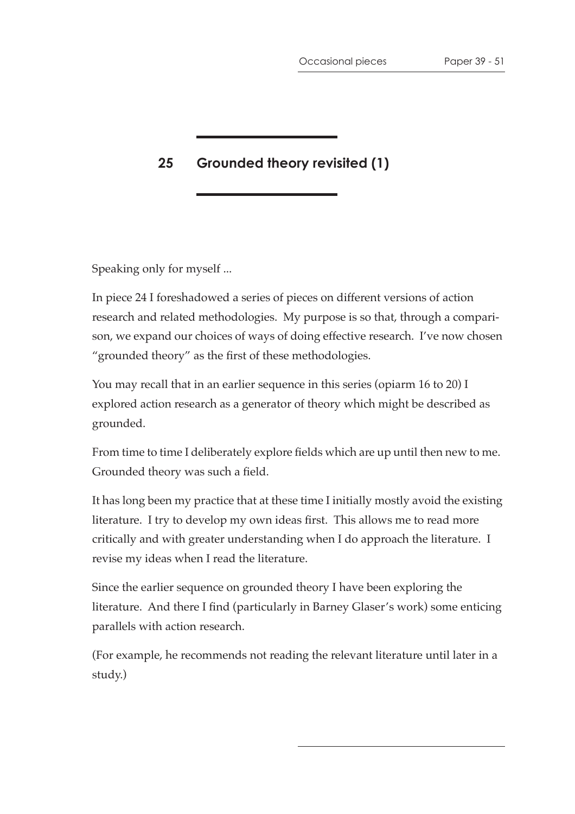## **25 Grounded theory revisited (1)**

Speaking only for myself ...

In piece 24 I foreshadowed a series of pieces on different versions of action research and related methodologies. My purpose is so that, through a comparison, we expand our choices of ways of doing effective research. I've now chosen "grounded theory" as the first of these methodologies.

You may recall that in an earlier sequence in this series (opiarm 16 to 20) I explored action research as a generator of theory which might be described as grounded.

From time to time I deliberately explore fields which are up until then new to me. Grounded theory was such a field.

It has long been my practice that at these time I initially mostly avoid the existing literature. I try to develop my own ideas first. This allows me to read more critically and with greater understanding when I do approach the literature. I revise my ideas when I read the literature.

Since the earlier sequence on grounded theory I have been exploring the literature. And there I find (particularly in Barney Glaser's work) some enticing parallels with action research.

(For example, he recommends not reading the relevant literature until later in a study.)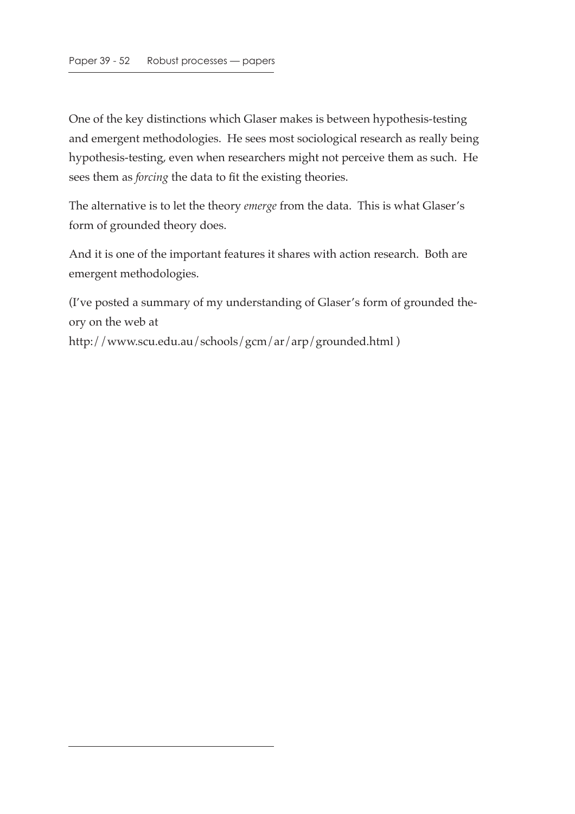One of the key distinctions which Glaser makes is between hypothesis-testing and emergent methodologies. He sees most sociological research as really being hypothesis-testing, even when researchers might not perceive them as such. He sees them as *forcing* the data to fit the existing theories.

The alternative is to let the theory *emerge* from the data. This is what Glaser's form of grounded theory does.

And it is one of the important features it shares with action research. Both are emergent methodologies.

(I've posted a summary of my understanding of Glaser's form of grounded theory on the web at http://www.scu.edu.au/schools/gcm/ar/arp/grounded.html )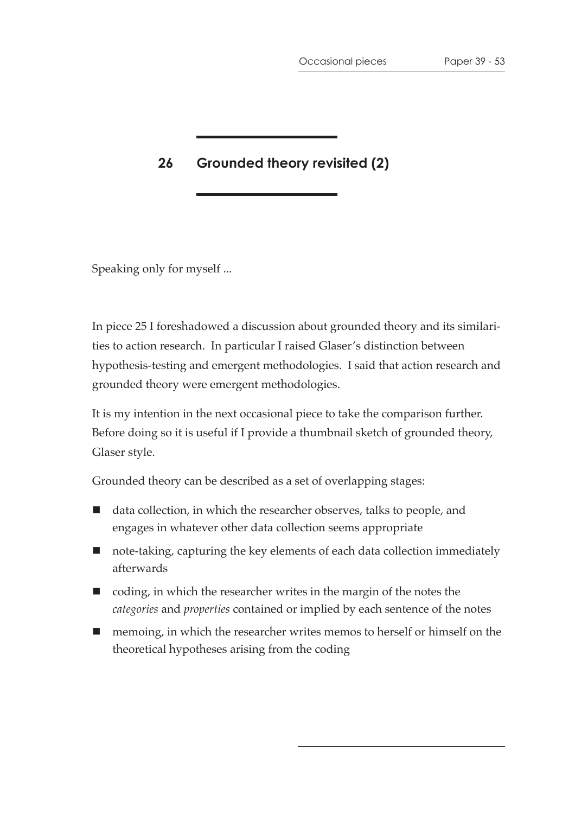## **26 Grounded theory revisited (2)**

Speaking only for myself ...

In piece 25 I foreshadowed a discussion about grounded theory and its similarities to action research. In particular I raised Glaser's distinction between hypothesis-testing and emergent methodologies. I said that action research and grounded theory were emergent methodologies.

It is my intention in the next occasional piece to take the comparison further. Before doing so it is useful if I provide a thumbnail sketch of grounded theory, Glaser style.

Grounded theory can be described as a set of overlapping stages:

- data collection, in which the researcher observes, talks to people, and engages in whatever other data collection seems appropriate
- note-taking, capturing the key elements of each data collection immediately afterwards
- coding, in which the researcher writes in the margin of the notes the *categories* and *properties* contained or implied by each sentence of the notes
- memoing, in which the researcher writes memos to herself or himself on the theoretical hypotheses arising from the coding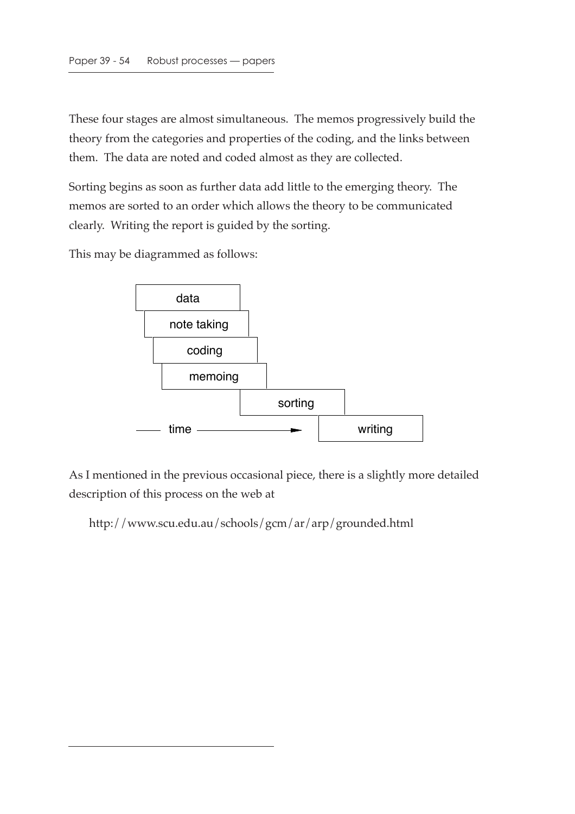These four stages are almost simultaneous. The memos progressively build the theory from the categories and properties of the coding, and the links between them. The data are noted and coded almost as they are collected.

Sorting begins as soon as further data add little to the emerging theory. The memos are sorted to an order which allows the theory to be communicated clearly. Writing the report is guided by the sorting.

This may be diagrammed as follows:



As I mentioned in the previous occasional piece, there is a slightly more detailed description of this process on the web at

http://www.scu.edu.au/schools/gcm/ar/arp/grounded.html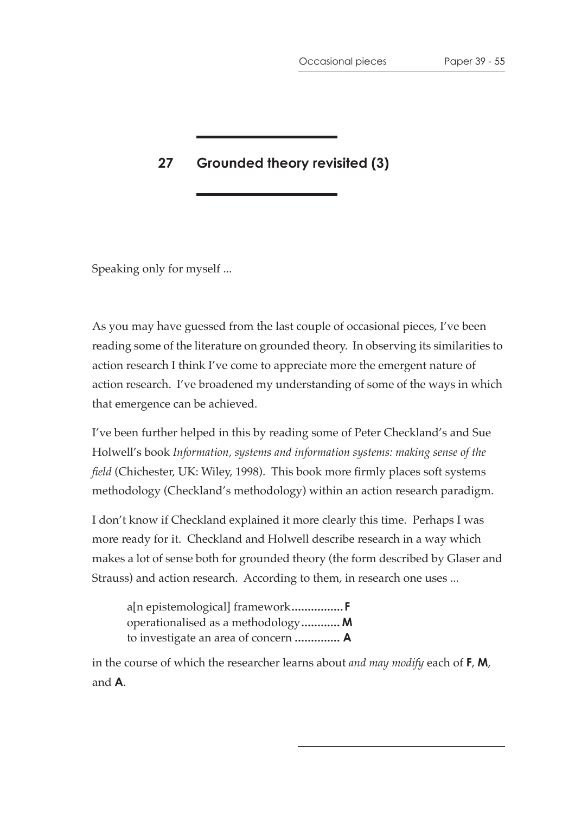### **27 Grounded theory revisited (3)**

Speaking only for myself ...

As you may have guessed from the last couple of occasional pieces, I've been reading some of the literature on grounded theory. In observing its similarities to action research I think I've come to appreciate more the emergent nature of action research. I've broadened my understanding of some of the ways in which that emergence can be achieved.

I've been further helped in this by reading some of Peter Checkland's and Sue Holwell's book *Information, systems and information systems: making sense of the field* (Chichester, UK: Wiley, 1998). This book more firmly places soft systems methodology (Checkland's methodology) within an action research paradigm.

I don't know if Checkland explained it more clearly this time. Perhaps I was more ready for it. Checkland and Holwell describe research in a way which makes a lot of sense both for grounded theory (the form described by Glaser and Strauss) and action research. According to them, in research one uses ...

| a[n epistemological] frameworkF      |
|--------------------------------------|
| operationalised as a methodologyM    |
| to investigate an area of concern  A |

in the course of which the researcher learns about *and may modify* each of **F**, **M**, and **A**.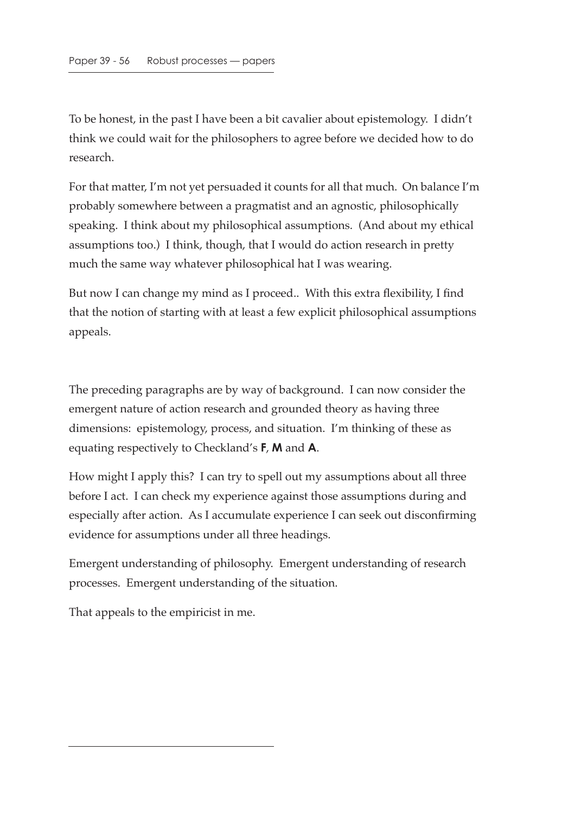To be honest, in the past I have been a bit cavalier about epistemology. I didn't think we could wait for the philosophers to agree before we decided how to do research.

For that matter, I'm not yet persuaded it counts for all that much. On balance I'm probably somewhere between a pragmatist and an agnostic, philosophically speaking. I think about my philosophical assumptions. (And about my ethical assumptions too.) I think, though, that I would do action research in pretty much the same way whatever philosophical hat I was wearing.

But now I can change my mind as I proceed.. With this extra flexibility, I find that the notion of starting with at least a few explicit philosophical assumptions appeals.

The preceding paragraphs are by way of background. I can now consider the emergent nature of action research and grounded theory as having three dimensions: epistemology, process, and situation. I'm thinking of these as equating respectively to Checkland's **F**, **M** and **A**.

How might I apply this? I can try to spell out my assumptions about all three before I act. I can check my experience against those assumptions during and especially after action. As I accumulate experience I can seek out disconfirming evidence for assumptions under all three headings.

Emergent understanding of philosophy. Emergent understanding of research processes. Emergent understanding of the situation.

That appeals to the empiricist in me.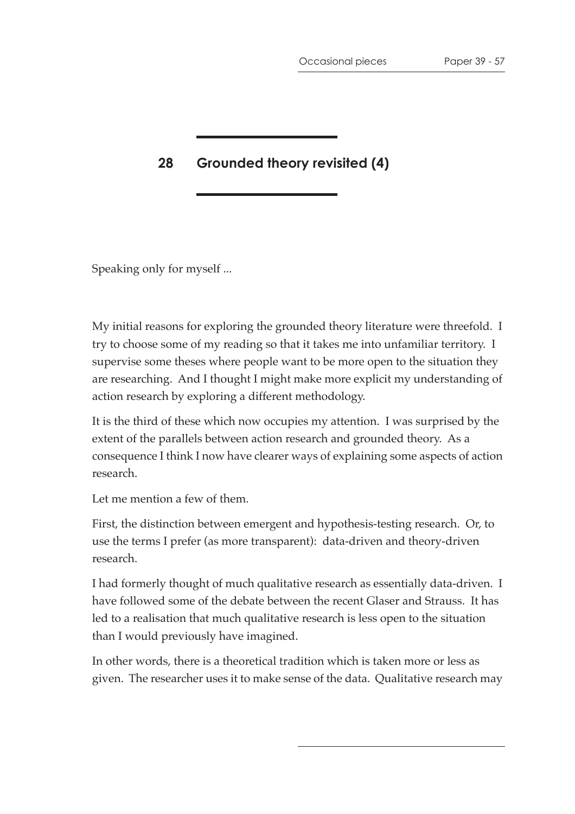#### **28 Grounded theory revisited (4)**

Speaking only for myself ...

My initial reasons for exploring the grounded theory literature were threefold. I try to choose some of my reading so that it takes me into unfamiliar territory. I supervise some theses where people want to be more open to the situation they are researching. And I thought I might make more explicit my understanding of action research by exploring a different methodology.

It is the third of these which now occupies my attention. I was surprised by the extent of the parallels between action research and grounded theory. As a consequence I think I now have clearer ways of explaining some aspects of action research.

Let me mention a few of them.

First, the distinction between emergent and hypothesis-testing research. Or, to use the terms I prefer (as more transparent): data-driven and theory-driven research.

I had formerly thought of much qualitative research as essentially data-driven. I have followed some of the debate between the recent Glaser and Strauss. It has led to a realisation that much qualitative research is less open to the situation than I would previously have imagined.

In other words, there is a theoretical tradition which is taken more or less as given. The researcher uses it to make sense of the data. Qualitative research may